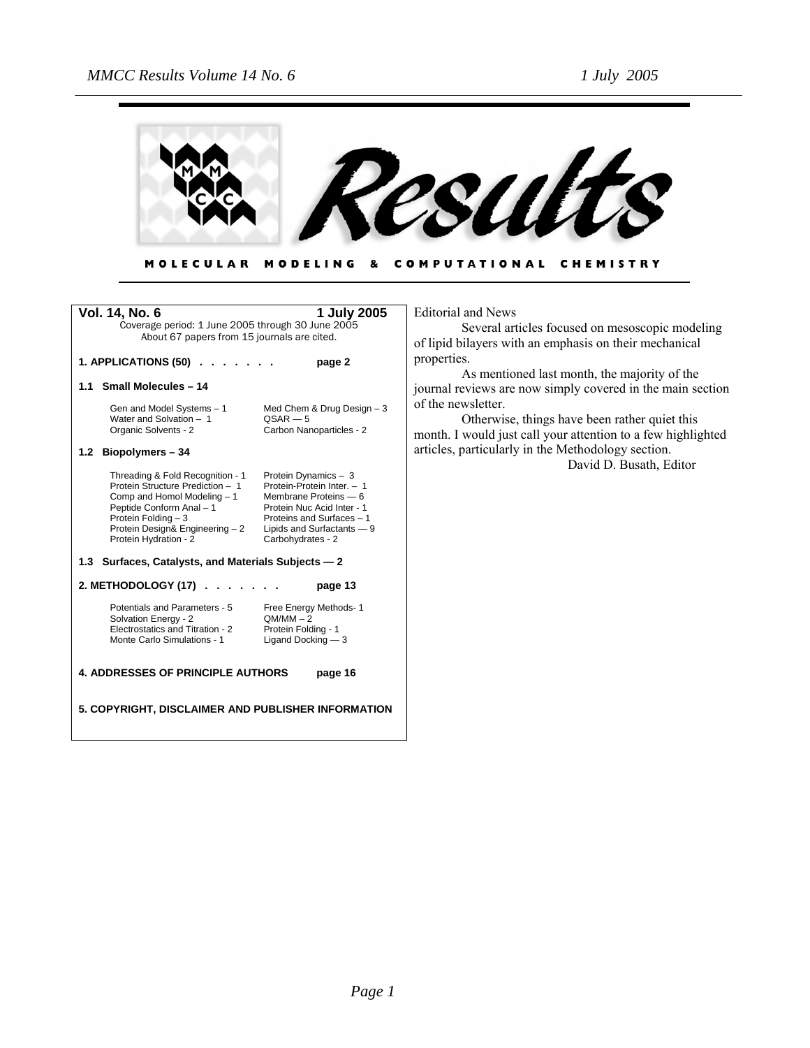

#### COMPUTATIONAL CHEMISTRY **MOLECULAR** MODELING &

| Vol. 14, No. 6                                                                                                                                                                                                     | 1 July 2005                                                                                                                                                                               | Edito  |
|--------------------------------------------------------------------------------------------------------------------------------------------------------------------------------------------------------------------|-------------------------------------------------------------------------------------------------------------------------------------------------------------------------------------------|--------|
| Coverage period: 1 June 2005 through 30 June 2005<br>About 67 papers from 15 journals are cited.                                                                                                                   |                                                                                                                                                                                           | of lip |
| 1. APPLICATIONS (50)                                                                                                                                                                                               | page 2                                                                                                                                                                                    | prop   |
| <b>Small Molecules - 14</b><br>1.1                                                                                                                                                                                 |                                                                                                                                                                                           | journ  |
| Gen and Model Systems - 1<br>Water and Solvation - 1                                                                                                                                                               | Med Chem & Drug Design $-3$<br>$OSAR - 5$                                                                                                                                                 | of th  |
| Organic Solvents - 2                                                                                                                                                                                               | Carbon Nanoparticles - 2                                                                                                                                                                  | mon    |
| 1.2 Biopolymers - 34                                                                                                                                                                                               |                                                                                                                                                                                           | artic  |
| Threading & Fold Recognition - 1<br>Protein Structure Prediction - 1<br>Comp and Homol Modeling - 1<br>Peptide Conform Anal - 1<br>Protein Folding - 3<br>Protein Design& Engineering - 2<br>Protein Hydration - 2 | Protein Dynamics - 3<br>Protein-Protein Inter. - 1<br>Membrane Proteins - 6<br>Protein Nuc Acid Inter - 1<br>Proteins and Surfaces - 1<br>Lipids and Surfactants - 9<br>Carbohydrates - 2 |        |
| 1.3 Surfaces, Catalysts, and Materials Subjects - 2                                                                                                                                                                |                                                                                                                                                                                           |        |
| 2. METHODOLOGY (17)                                                                                                                                                                                                | page 13                                                                                                                                                                                   |        |
| Potentials and Parameters - 5<br>Solvation Energy - 2<br>Electrostatics and Titration - 2<br>Monte Carlo Simulations - 1                                                                                           | Free Energy Methods-1<br>$OM/MM - 2$<br>Protein Folding - 1<br>Ligand Docking - 3                                                                                                         |        |
| <b>4. ADDRESSES OF PRINCIPLE AUTHORS</b><br>page 16                                                                                                                                                                |                                                                                                                                                                                           |        |
| 5. COPYRIGHT, DISCLAIMER AND PUBLISHER INFORMATION                                                                                                                                                                 |                                                                                                                                                                                           |        |

orial and News

Several articles focused on mesoscopic modeling pid bilayers with an emphasis on their mechanical erties.

As mentioned last month, the majority of the nal reviews are now simply covered in the main section ne newsletter.

Otherwise, things have been rather quiet this th. I would just call your attention to a few highlighted cles, particularly in the Methodology section.

David D. Busath, Editor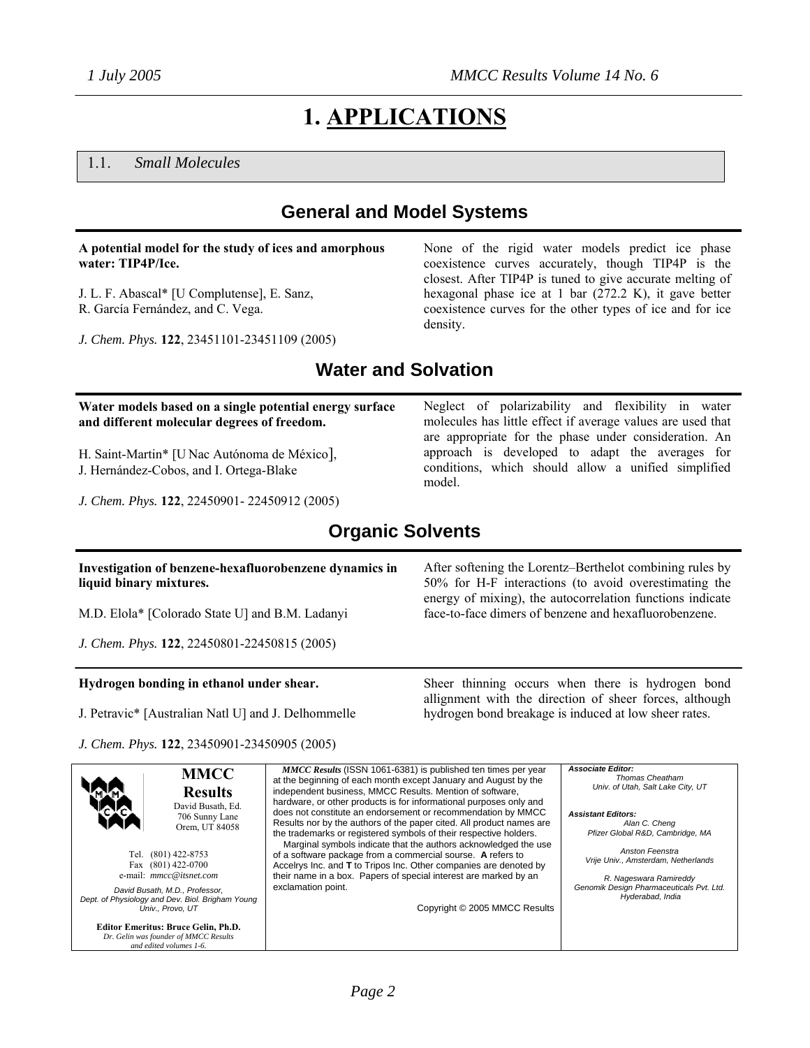None of the rigid water models predict ice phase coexistence curves accurately, though TIP4P is the closest. After TIP4P is tuned to give accurate melting of hexagonal phase ice at 1 bar (272.2 K), it gave better coexistence curves for the other types of ice and for ice

Neglect of polarizability and flexibility in water molecules has little effect if average values are used that are appropriate for the phase under consideration. An approach is developed to adapt the averages for conditions, which should allow a unified simplified

# **1. APPLICATIONS**

### 1.1. *Small Molecules*

# **General and Model Systems**

#### **A potential model for the study of ices and amorphous water: TIP4P/Ice.**

J. L. F. Abascal\* [U Complutense], E. Sanz, R. García Fernández, and C. Vega.

*J. Chem. Phys.* **122**, 23451101-23451109 (2005)

# **Water and Solvation**

density.

model.

#### **Water models based on a single potential energy surface and different molecular degrees of freedom.**

H. Saint-Martin\* [U Nac Autónoma de México], J. Hernández-Cobos, and I. Ortega-Blake

*J. Chem. Phys.* **122**, 22450901- 22450912 (2005)

# **Organic Solvents**

#### **Investigation of benzene-hexafluorobenzene dynamics in liquid binary mixtures.**

M.D. Elola\* [Colorado State U] and B.M. Ladanyi

*J. Chem. Phys.* **122**, 22450801-22450815 (2005)

#### **Hydrogen bonding in ethanol under shear.**

J. Petravic\* [Australian Natl U] and J. Delhommelle

*J. Chem. Phys.* **122**, 23450901-23450905 (2005)

**Editor Emeritus: Bruce Gelin, Ph.D.**  *Dr. Gelin was founder of MMCC Results and edited volumes 1-6.*

**MMCC Results**  David Busath, Ed. 706 Sunny Lane Orem, UT 84058 Tel. (801) 422-8753 Fax (801) 422-0700 e-mail: *mmcc@itsnet.com David Busath, M.D., Professor, Dept. of Physiology and Dev. Biol. Brigham Young Univ., Provo, UT MMCC Results* (ISSN 1061-6381) is published ten times per year at the beginning of each month except January and August by the independent business, MMCC Results. Mention of software hardware, or other products is for informational purposes only and does not constitute an endorsement or recommendation by MMCC Results nor by the authors of the paper cited. All product names are the trademarks or registered symbols of their respective holders. Marginal symbols indicate that the authors acknowledged the use of a software package from a commercial sourse. **A** refers to Accelrys Inc. and **T** to Tripos Inc. Other companies are denoted by their name in a box. Papers of special interest are marked by an exclamation point. Copyright © 2005 MMCC Results *Associate Editor: Thomas Cheatham Univ. of Utah, Salt Lake City, UT Assistant Editors: Alan C. Cheng Pfizer Global R&D, Cambridge, MA Anston Feenstra Vrije Univ., Amsterdam, Netherlands R. Nageswara Ramireddy Genomik Design Pharmaceuticals Pvt. Ltd. Hyderabad, India*

After softening the Lorentz–Berthelot combining rules by 50% for H-F interactions (to avoid overestimating the energy of mixing), the autocorrelation functions indicate face-to-face dimers of benzene and hexafluorobenzene.

Sheer thinning occurs when there is hydrogen bond allignment with the direction of sheer forces, although hydrogen bond breakage is induced at low sheer rates.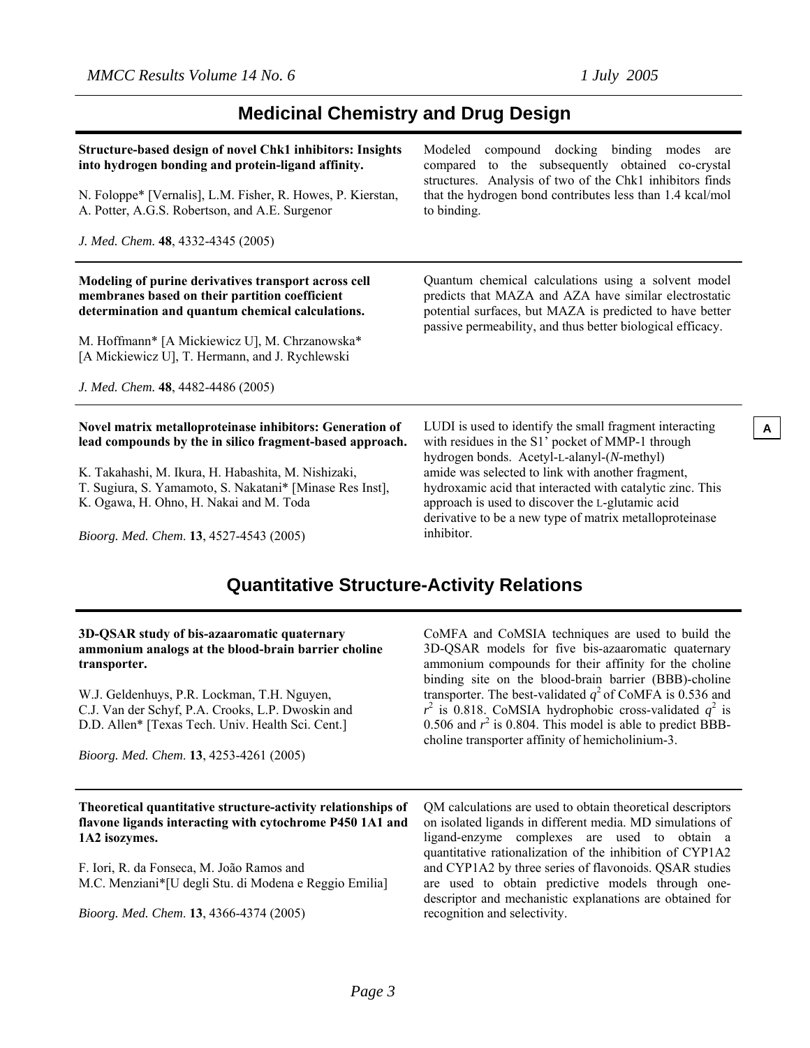## **Medicinal Chemistry and Drug Design**

| Structure-based design of novel Chk1 inhibitors: Insights<br>into hydrogen bonding and protein-ligand affinity.<br>N. Foloppe* [Vernalis], L.M. Fisher, R. Howes, P. Kierstan,<br>A. Potter, A.G.S. Robertson, and A.E. Surgenor<br>J. Med. Chem. 48, 4332-4345 (2005)                                | compound docking binding modes are<br>Modeled<br>compared to the subsequently obtained co-crystal<br>structures. Analysis of two of the Chk1 inhibitors finds<br>that the hydrogen bond contributes less than 1.4 kcal/mol<br>to binding. |
|-------------------------------------------------------------------------------------------------------------------------------------------------------------------------------------------------------------------------------------------------------------------------------------------------------|-------------------------------------------------------------------------------------------------------------------------------------------------------------------------------------------------------------------------------------------|
| Modeling of purine derivatives transport across cell<br>membranes based on their partition coefficient<br>determination and quantum chemical calculations.<br>M. Hoffmann* [A Mickiewicz U], M. Chrzanowska*<br>[A Mickiewicz U], T. Hermann, and J. Rychlewski<br>J. Med. Chem. 48, 4482-4486 (2005) | Quantum chemical calculations using a solvent model<br>predicts that MAZA and AZA have similar electrostatic<br>potential surfaces, but MAZA is predicted to have better<br>passive permeability, and thus better biological efficacy.    |
| Novel matrix metalloproteinase inhibitors: Generation of<br>lead compounds by the in silico fragment-based approach.<br>K. Takahashi, M. Ikura, H. Habashita, M. Nishizaki,                                                                                                                           | LUDI is used to identify the small fragment interacting<br>with residues in the S1' pocket of MMP-1 through<br>hydrogen bonds. Acetyl-L-alanyl-(N-methyl)<br>amide was selected to link with another fragment,                            |

T. Sugiura, S. Yamamoto, S. Nakatani\* [Minase Res Inst], K. Ogawa, H. Ohno, H. Nakai and M. Toda

*Bioorg. Med. Chem*. **13**, 4527-4543 (2005)

hydroxamic acid that interacted with catalytic zinc. This approach is used to discover the L-glutamic acid derivative to be a new type of matrix metalloproteinase inhibitor.

# **Quantitative Structure-Activity Relations**

#### **3D-QSAR study of bis-azaaromatic quaternary ammonium analogs at the blood-brain barrier choline transporter.**

W.J. Geldenhuys, P.R. Lockman, T.H. Nguyen, C.J. Van der Schyf, P.A. Crooks, L.P. Dwoskin and D.D. Allen\* [Texas Tech. Univ. Health Sci. Cent.]

*Bioorg. Med. Chem*. **13**, 4253-4261 (2005)

**Theoretical quantitative structure-activity relationships of flavone ligands interacting with cytochrome P450 1A1 and 1A2 isozymes.** 

F. Iori, R. da Fonseca, M. João Ramos and M.C. Menziani\*[U degli Stu. di Modena e Reggio Emilia]

*Bioorg. Med. Chem*. **13**, 4366-4374 (2005)

CoMFA and CoMSIA techniques are used to build the 3D-QSAR models for five bis-azaaromatic quaternary ammonium compounds for their affinity for the choline binding site on the blood-brain barrier (BBB)-choline transporter. The best-validated  $q^2$  of CoMFA is 0.536 and  $r^2$  is 0.818. CoMSIA hydrophobic cross-validated  $q^2$  is 0.506 and  $r^2$  is 0.804. This model is able to predict BBBcholine transporter affinity of hemicholinium-3.

QM calculations are used to obtain theoretical descriptors on isolated ligands in different media. MD simulations of ligand-enzyme complexes are used to obtain a quantitative rationalization of the inhibition of CYP1A2 and CYP1A2 by three series of flavonoids. QSAR studies are used to obtain predictive models through onedescriptor and mechanistic explanations are obtained for recognition and selectivity.

**A**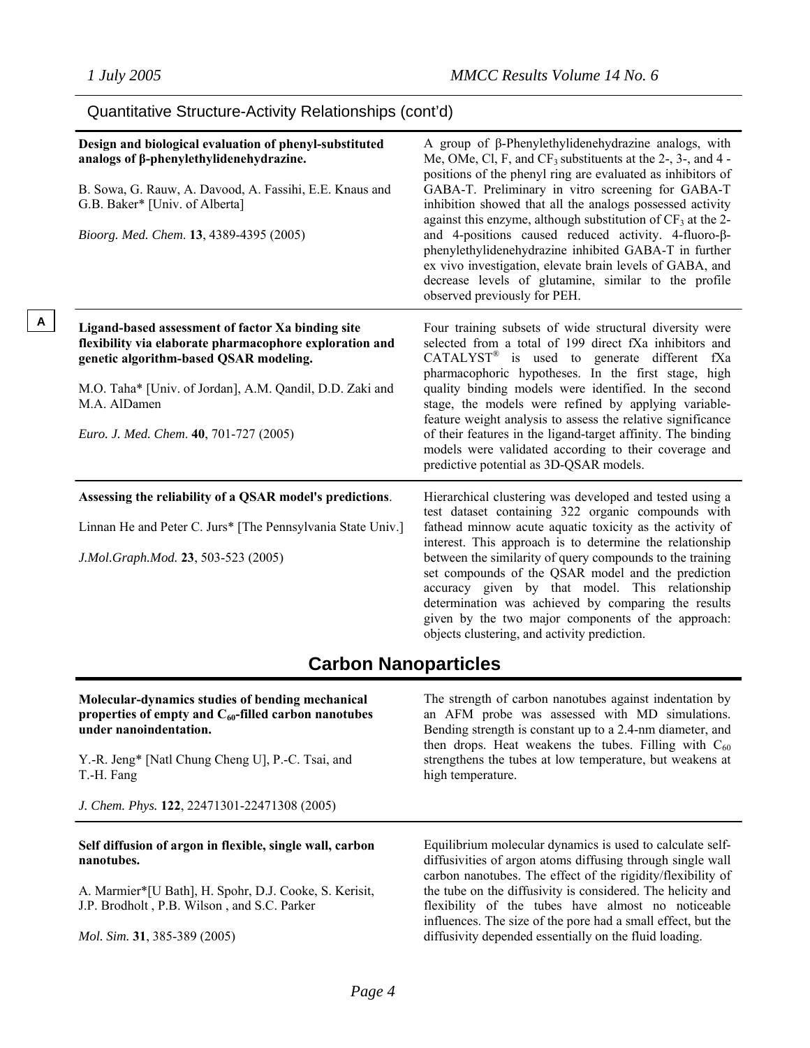**A**

| Design and biological evaluation of phenyl-substituted<br>analogs of $\beta$ -phenylethylidenehydrazine.<br>B. Sowa, G. Rauw, A. Davood, A. Fassihi, E.E. Knaus and<br>G.B. Baker* [Univ. of Alberta]<br>Bioorg. Med. Chem. 13, 4389-4395 (2005)                             | A group of β-Phenylethylidenehydrazine analogs, with<br>Me, OMe, Cl, F, and $CF_3$ substituents at the 2-, 3-, and 4 -<br>positions of the phenyl ring are evaluated as inhibitors of<br>GABA-T. Preliminary in vitro screening for GABA-T<br>inhibition showed that all the analogs possessed activity<br>against this enzyme, although substitution of $CF_3$ at the 2-<br>and 4-positions caused reduced activity. 4-fluoro-ß-<br>phenylethylidenehydrazine inhibited GABA-T in further<br>ex vivo investigation, elevate brain levels of GABA, and<br>decrease levels of glutamine, similar to the profile<br>observed previously for PEH. |
|------------------------------------------------------------------------------------------------------------------------------------------------------------------------------------------------------------------------------------------------------------------------------|------------------------------------------------------------------------------------------------------------------------------------------------------------------------------------------------------------------------------------------------------------------------------------------------------------------------------------------------------------------------------------------------------------------------------------------------------------------------------------------------------------------------------------------------------------------------------------------------------------------------------------------------|
| Ligand-based assessment of factor Xa binding site<br>flexibility via elaborate pharmacophore exploration and<br>genetic algorithm-based QSAR modeling.<br>M.O. Taha* [Univ. of Jordan], A.M. Qandil, D.D. Zaki and<br>M.A. AlDamen<br>Euro. J. Med. Chem. 40, 701-727 (2005) | Four training subsets of wide structural diversity were<br>selected from a total of 199 direct fXa inhibitors and<br>CATALYST® is used to generate different fXa<br>pharmacophoric hypotheses. In the first stage, high<br>quality binding models were identified. In the second<br>stage, the models were refined by applying variable-<br>feature weight analysis to assess the relative significance<br>of their features in the ligand-target affinity. The binding<br>models were validated according to their coverage and<br>predictive potential as 3D-QSAR models.                                                                    |
| Assessing the reliability of a QSAR model's predictions.<br>Linnan He and Peter C. Jurs* [The Pennsylvania State Univ.]<br>J.Mol.Graph.Mod. 23, 503-523 (2005)                                                                                                               | Hierarchical clustering was developed and tested using a<br>test dataset containing 322 organic compounds with<br>fathead minnow acute aquatic toxicity as the activity of<br>interest. This approach is to determine the relationship<br>between the similarity of query compounds to the training<br>set compounds of the QSAR model and the prediction<br>accuracy given by that model. This relationship<br>determination was achieved by comparing the results<br>given by the two major components of the approach:<br>objects clustering, and activity prediction.                                                                      |

### Quantitative Structure-Activity Relationships (cont'd)

# **Carbon Nanoparticles**

**Molecular-dynamics studies of bending mechanical properties of empty and C60-filled carbon nanotubes under nanoindentation.** Y.-R. Jeng\* [Natl Chung Cheng U], P.-C. Tsai, and T.-H. Fang *J. Chem. Phys.* **122**, 22471301-22471308 (2005) The strength of carbon nanotubes against indentation by an AFM probe was assessed with MD simulations. Bending strength is constant up to a 2.4-nm diameter, and then drops. Heat weakens the tubes. Filling with  $C_{60}$ strengthens the tubes at low temperature, but weakens at high temperature. **Self diffusion of argon in flexible, single wall, carbon nanotubes.** A. Marmier\*[U Bath], H. Spohr, D.J. Cooke, S. Kerisit, J.P. Brodholt , P.B. Wilson , and S.C. Parker *Mol. Sim.* **31**, 385-389 (2005) Equilibrium molecular dynamics is used to calculate selfdiffusivities of argon atoms diffusing through single wall carbon nanotubes. The effect of the rigidity/flexibility of the tube on the diffusivity is considered. The helicity and flexibility of the tubes have almost no noticeable influences. The size of the pore had a small effect, but the diffusivity depended essentially on the fluid loading.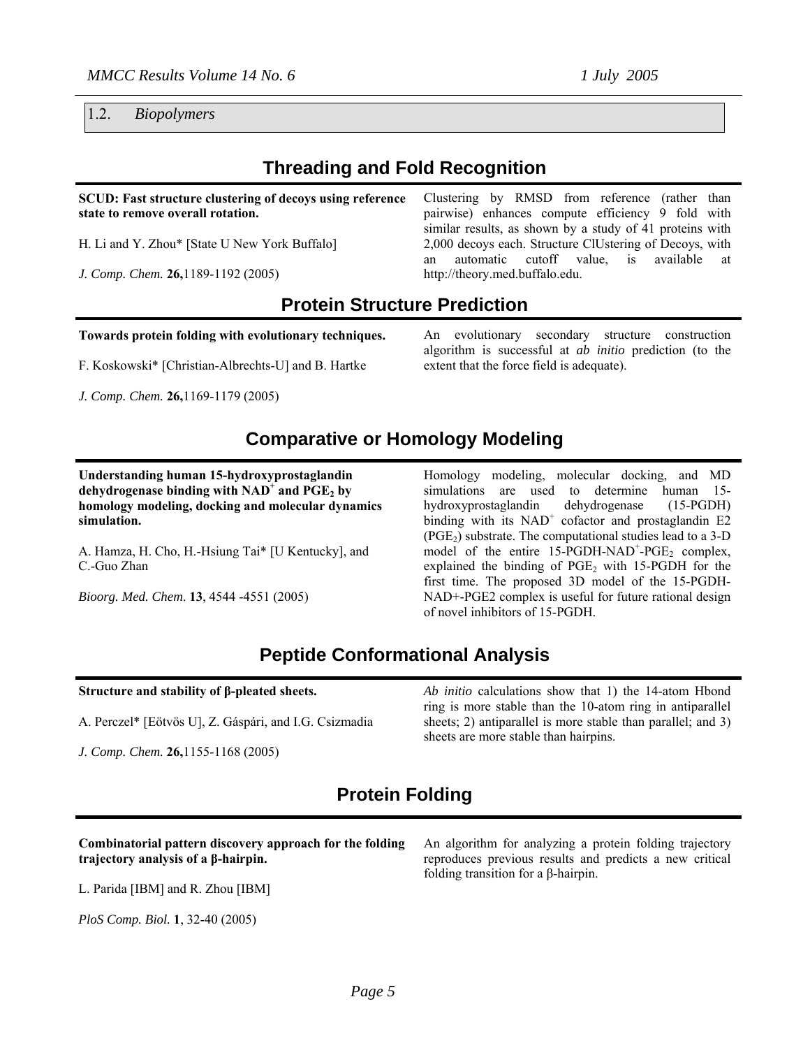1.2. *Biopolymers* 

# **Threading and Fold Recognition**

**SCUD: Fast structure clustering of decoys using reference state to remove overall rotation.** 

H. Li and Y. Zhou\* [State U New York Buffalo]

*J. Comp. Chem.* **26,**1189-1192 (2005)

Clustering by RMSD from reference (rather than pairwise) enhances compute efficiency 9 fold with similar results, as shown by a study of 41 proteins with 2,000 decoys each. Structure ClUstering of Decoys, with an automatic cutoff value, is available at http://theory.med.buffalo.edu.

## **Protein Structure Prediction**

**Towards protein folding with evolutionary techniques.** 

F. Koskowski\* [Christian-Albrechts-U] and B. Hartke

*J. Comp. Chem.* **26,**1169-1179 (2005)

An evolutionary secondary structure construction algorithm is successful at *ab initio* prediction (to the extent that the force field is adequate).

# **Comparative or Homology Modeling**

**Understanding human 15-hydroxyprostaglandin**  dehydrogenase binding with NAD<sup>+</sup> and PGE<sub>2</sub> by **homology modeling, docking and molecular dynamics simulation.** 

A. Hamza, H. Cho, H.-Hsiung Tai\* [U Kentucky], and C.-Guo Zhan

*Bioorg. Med. Chem*. **13**, 4544 -4551 (2005)

Homology modeling, molecular docking, and MD simulations are used to determine human 15 hydroxyprostaglandin dehydrogenase (15-PGDH) binding with its NAD<sup>+</sup> cofactor and prostaglandin E2  $(PGE<sub>2</sub>)$  substrate. The computational studies lead to a 3-D model of the entire  $15$ -PGDH-NAD<sup>+</sup>-PGE<sub>2</sub> complex, explained the binding of  $PGE_2$  with 15-PGDH for the first time. The proposed 3D model of the 15-PGDH-NAD+-PGE2 complex is useful for future rational design of novel inhibitors of 15-PGDH.

# **Peptide Conformational Analysis**

#### **Structure and stability of β-pleated sheets.**

A. Perczel\* [Eötvös U], Z. Gáspári, and I.G. Csizmadia

*J. Comp. Chem.* **26,**1155-1168 (2005)

*Ab initio* calculations show that 1) the 14-atom Hbond ring is more stable than the 10-atom ring in antiparallel sheets; 2) antiparallel is more stable than parallel; and 3) sheets are more stable than hairpins.

# **Protein Folding**

#### **Combinatorial pattern discovery approach for the folding trajectory analysis of a β-hairpin.**

L. Parida [IBM] and R. Zhou [IBM]

*PloS Comp. Biol.* **1**, 32-40 (2005)

An algorithm for analyzing a protein folding trajectory reproduces previous results and predicts a new critical folding transition for a β-hairpin.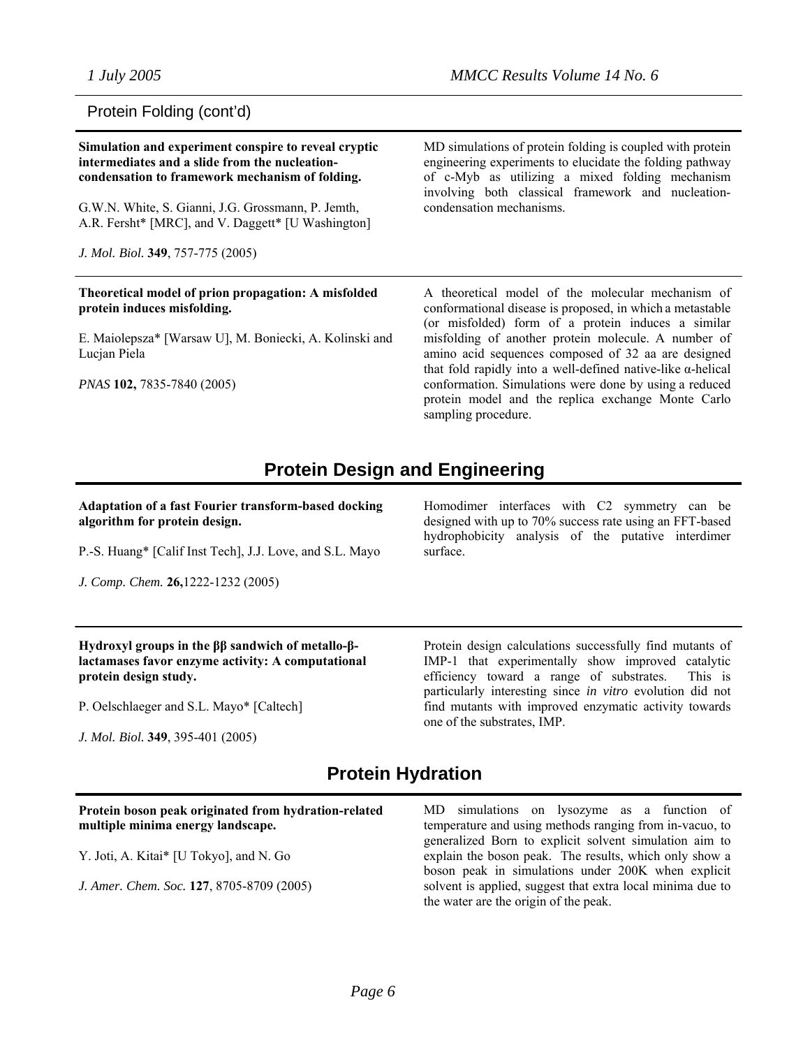### Protein Folding (cont'd)

**Simulation and experiment conspire to reveal cryptic intermediates and a slide from the nucleationcondensation to framework mechanism of folding.**

G.W.N. White, S. Gianni, J.G. Grossmann, P. Jemth, A.R. Fersht\* [MRC], and V. Daggett\* [U Washington]

*J. Mol. Biol.* **349**, 757-775 (2005)

#### **Theoretical model of prion propagation: A misfolded protein induces misfolding.**

E. Maiolepsza\* [Warsaw U], M. Boniecki, A. Kolinski and Lucjan Piela

*PNAS* **102,** 7835-7840 (2005)

MD simulations of protein folding is coupled with protein engineering experiments to elucidate the folding pathway of c-Myb as utilizing a mixed folding mechanism involving both classical framework and nucleationcondensation mechanisms.

A theoretical model of the molecular mechanism of conformational disease is proposed, in which a metastable (or misfolded) form of a protein induces a similar misfolding of another protein molecule. A number of amino acid sequences composed of 32 aa are designed that fold rapidly into a well-defined native-like α-helical conformation. Simulations were done by using a reduced protein model and the replica exchange Monte Carlo sampling procedure.

## **Protein Design and Engineering**

#### **Adaptation of a fast Fourier transform-based docking algorithm for protein design.**

P.-S. Huang\* [Calif Inst Tech], J.J. Love, and S.L. Mayo

*J. Comp. Chem.* **26,**1222-1232 (2005)

Homodimer interfaces with C2 symmetry can be designed with up to 70% success rate using an FFT-based hydrophobicity analysis of the putative interdimer surface.

#### **Hydroxyl groups in the ββ sandwich of metallo-βlactamases favor enzyme activity: A computational protein design study.**

P. Oelschlaeger and S.L. Mayo\* [Caltech]

*J. Mol. Biol.* **349**, 395-401 (2005)

Protein design calculations successfully find mutants of IMP-1 that experimentally show improved catalytic efficiency toward a range of substrates. This is particularly interesting since *in vitro* evolution did not find mutants with improved enzymatic activity towards one of the substrates, IMP.

the water are the origin of the peak.

# **Protein Hydration**

#### **Protein boson peak originated from hydration-related multiple minima energy landscape.** Y. Joti, A. Kitai\* [U Tokyo], and N. Go *J. Amer. Chem. Soc.* **127**, 8705-8709 (2005) MD simulations on lysozyme as a function of temperature and using methods ranging from in-vacuo, to generalized Born to explicit solvent simulation aim to explain the boson peak. The results, which only show a boson peak in simulations under 200K when explicit solvent is applied, suggest that extra local minima due to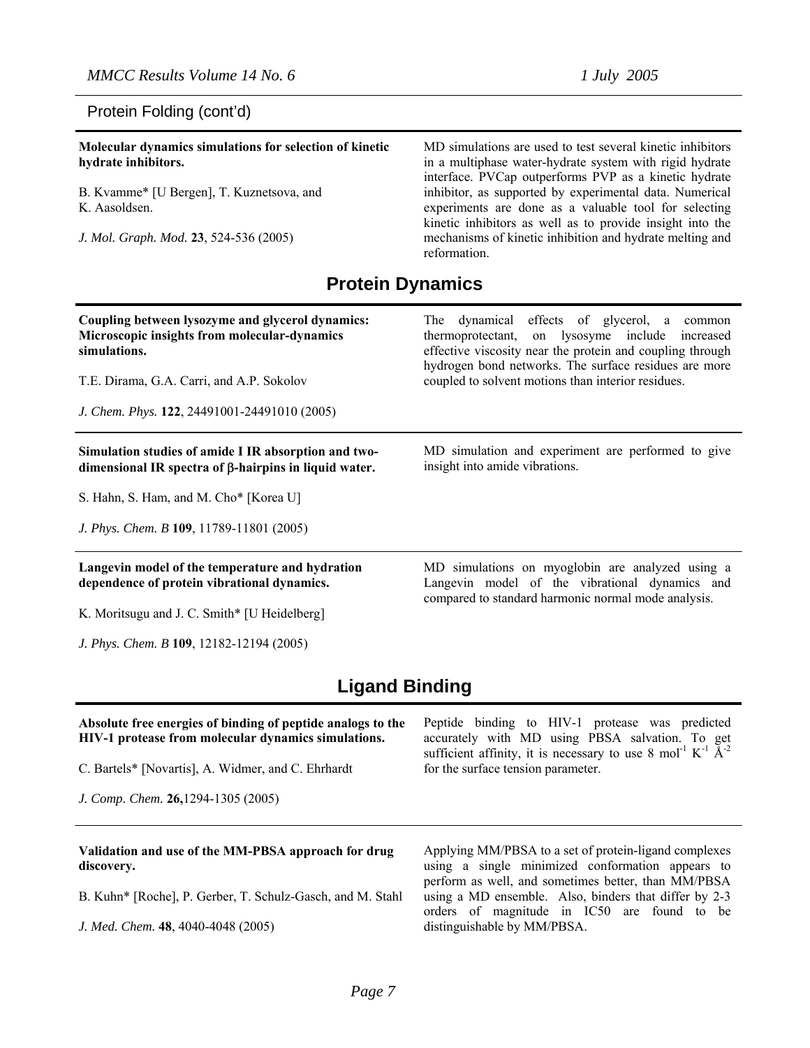#### Protein Folding (cont'd)

**Molecular dynamics simulations for selection of kinetic hydrate inhibitors.**  B. Kvamme\* [U Bergen], T. Kuznetsova, and K. Aasoldsen. *J. Mol. Graph. Mod.* **23**, 524-536 (2005)

MD simulations are used to test several kinetic inhibitors in a multiphase water-hydrate system with rigid hydrate interface. PVCap outperforms PVP as a kinetic hydrate inhibitor, as supported by experimental data. Numerical experiments are done as a valuable tool for selecting kinetic inhibitors as well as to provide insight into the mechanisms of kinetic inhibition and hydrate melting and reformation.

## **Protein Dynamics**

| Coupling between lysozyme and glycerol dynamics:<br>Microscopic insights from molecular-dynamics<br>simulations.<br>T.E. Dirama, G.A. Carri, and A.P. Sokolov<br>J. Chem. Phys. 122, 24491001-24491010 (2005) | dynamical effects of glycerol, a<br>The<br>common<br>thermoprotectant, on lysosyme include<br>increased<br>effective viscosity near the protein and coupling through<br>hydrogen bond networks. The surface residues are more<br>coupled to solvent motions than interior residues. |  |
|---------------------------------------------------------------------------------------------------------------------------------------------------------------------------------------------------------------|-------------------------------------------------------------------------------------------------------------------------------------------------------------------------------------------------------------------------------------------------------------------------------------|--|
| Simulation studies of amide I IR absorption and two-<br>dimensional IR spectra of $\beta$ -hairpins in liquid water.                                                                                          | MD simulation and experiment are performed to give<br>insight into amide vibrations.                                                                                                                                                                                                |  |
| S. Hahn, S. Ham, and M. Cho* [Korea U]                                                                                                                                                                        |                                                                                                                                                                                                                                                                                     |  |
| J. Phys. Chem. B 109, 11789-11801 (2005)                                                                                                                                                                      |                                                                                                                                                                                                                                                                                     |  |
| Langevin model of the temperature and hydration<br>dependence of protein vibrational dynamics.                                                                                                                | MD simulations on myoglobin are analyzed using a<br>Langevin model of the vibrational dynamics and<br>compared to standard harmonic normal mode analysis.                                                                                                                           |  |
| K. Moritsugu and J. C. Smith* [U Heidelberg]                                                                                                                                                                  |                                                                                                                                                                                                                                                                                     |  |
| J. Phys. Chem. B 109, 12182-12194 (2005)                                                                                                                                                                      |                                                                                                                                                                                                                                                                                     |  |
| <b>Ligand Binding</b>                                                                                                                                                                                         |                                                                                                                                                                                                                                                                                     |  |
| Absolute free energies of binding of peptide analogs to the<br>HIV-1 protease from molecular dynamics simulations.                                                                                            | Peptide binding to HIV-1 protease was predicted<br>accurately with MD using PBSA salvation. To get<br>outfigure of finity it is necessary to use $9 \text{ mol}^{-1}$ $V^{-1}$ $\lambda^{-2}$                                                                                       |  |

C. Bartels\* [Novartis], A. Widmer, and C. Ehrhardt

*J. Comp. Chem.* **26,**1294-1305 (2005)

sufficient affinity, it is necessary to use 8 mol<sup>-1</sup> K<sup>-1</sup>  $\tilde{A}$ <sup>-2</sup> for the surface tension parameter.

#### **Validation and use of the MM-PBSA approach for drug discovery.**

B. Kuhn\* [Roche], P. Gerber, T. Schulz-Gasch, and M. Stahl

*J. Med. Chem.* **48**, 4040-4048 (2005)

Applying MM/PBSA to a set of protein-ligand complexes using a single minimized conformation appears to perform as well, and sometimes better, than MM/PBSA using a MD ensemble. Also, binders that differ by 2-3 orders of magnitude in IC50 are found to be distinguishable by MM/PBSA.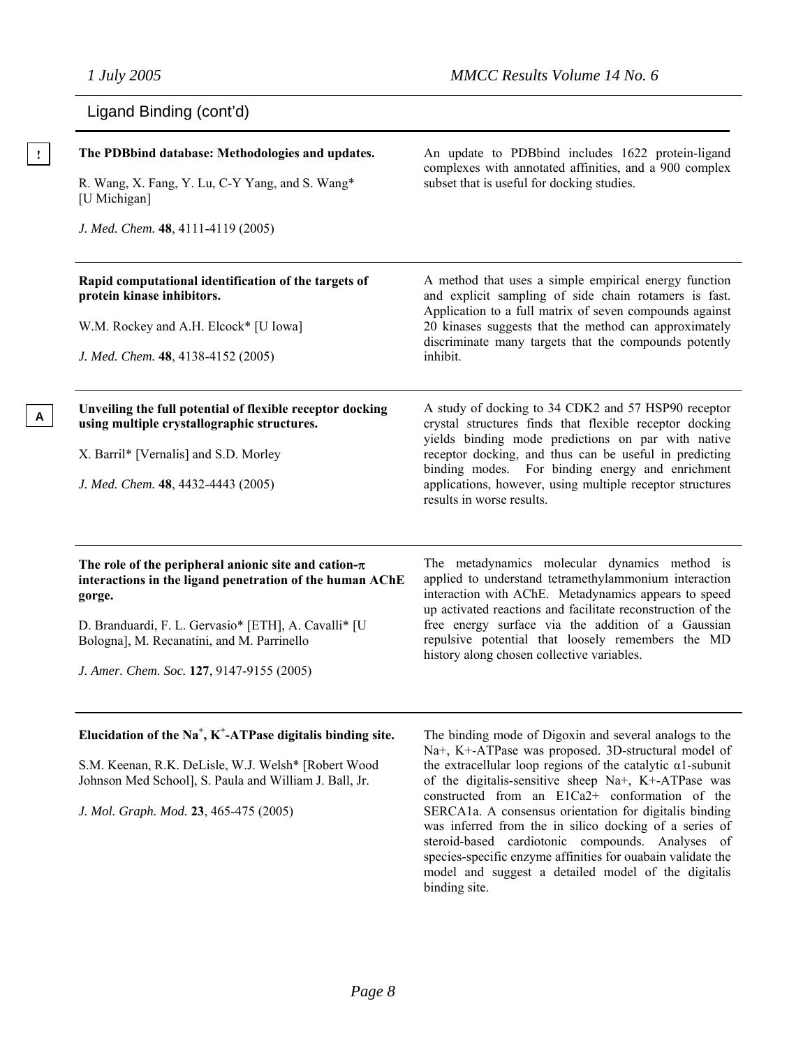**A**

| Ligand Binding (cont'd) |  |  |
|-------------------------|--|--|
|-------------------------|--|--|

|   | The PDBbind database: Methodologies and updates.<br>R. Wang, X. Fang, Y. Lu, C-Y Yang, and S. Wang*<br>[U Michigan]<br>J. Med. Chem. 48, 4111-4119 (2005)                                                                                                                          | An update to PDBbind includes 1622 protein-ligand<br>complexes with annotated affinities, and a 900 complex<br>subset that is useful for docking studies.                                                                                                                                                                                                                              |
|---|------------------------------------------------------------------------------------------------------------------------------------------------------------------------------------------------------------------------------------------------------------------------------------|----------------------------------------------------------------------------------------------------------------------------------------------------------------------------------------------------------------------------------------------------------------------------------------------------------------------------------------------------------------------------------------|
|   | Rapid computational identification of the targets of<br>protein kinase inhibitors.<br>W.M. Rockey and A.H. Elcock* [U Iowa]<br>J. Med. Chem. 48, 4138-4152 (2005)                                                                                                                  | A method that uses a simple empirical energy function<br>and explicit sampling of side chain rotamers is fast.<br>Application to a full matrix of seven compounds against<br>20 kinases suggests that the method can approximately<br>discriminate many targets that the compounds potently<br>inhibit.                                                                                |
| A | Unveiling the full potential of flexible receptor docking<br>using multiple crystallographic structures.<br>X. Barril* [Vernalis] and S.D. Morley<br>J. Med. Chem. 48, 4432-4443 (2005)                                                                                            | A study of docking to 34 CDK2 and 57 HSP90 receptor<br>crystal structures finds that flexible receptor docking<br>yields binding mode predictions on par with native<br>receptor docking, and thus can be useful in predicting<br>binding modes. For binding energy and enrichment<br>applications, however, using multiple receptor structures<br>results in worse results.           |
|   | The role of the peripheral anionic site and cation- $\pi$<br>interactions in the ligand penetration of the human AChE<br>gorge.<br>D. Branduardi, F. L. Gervasio* [ETH], A. Cavalli* [U<br>Bologna], M. Recanatini, and M. Parrinello<br>J. Amer. Chem. Soc. 127, 9147-9155 (2005) | The metadynamics molecular dynamics method is<br>applied to understand tetramethylammonium interaction<br>interaction with AChE. Metadynamics appears to speed<br>up activated reactions and facilitate reconstruction of the<br>free energy surface via the addition of a Gaussian<br>repulsive potential that loosely remembers the MD<br>history along chosen collective variables. |
|   | Elucidation of the Na <sup>+</sup> , K <sup>+</sup> -ATPase digitalis binding site.<br>S.M. Keenan, R.K. DeLisle, W.J. Welsh* [Robert Wood<br>Johnson Med School], S. Paula and William J. Ball, Jr.                                                                               | The binding mode of Digoxin and several analogs to the<br>Na+, K+-ATPase was proposed. 3D-structural model of<br>the extracellular loop regions of the catalytic $\alpha$ 1-subunit<br>of the digitalis-sensitive sheep Na+, K+-ATPase was<br>constructed from an E1Ca2+ conformation of the                                                                                           |

*J. Mol. Graph. Mod.* **23**, 465-475 (2005)

SERCA1a. A consensus orientation for digitalis binding was inferred from the in silico docking of a series of steroid-based cardiotonic compounds. Analyses of species-specific enzyme affinities for ouabain validate the model and suggest a detailed model of the digitalis binding site.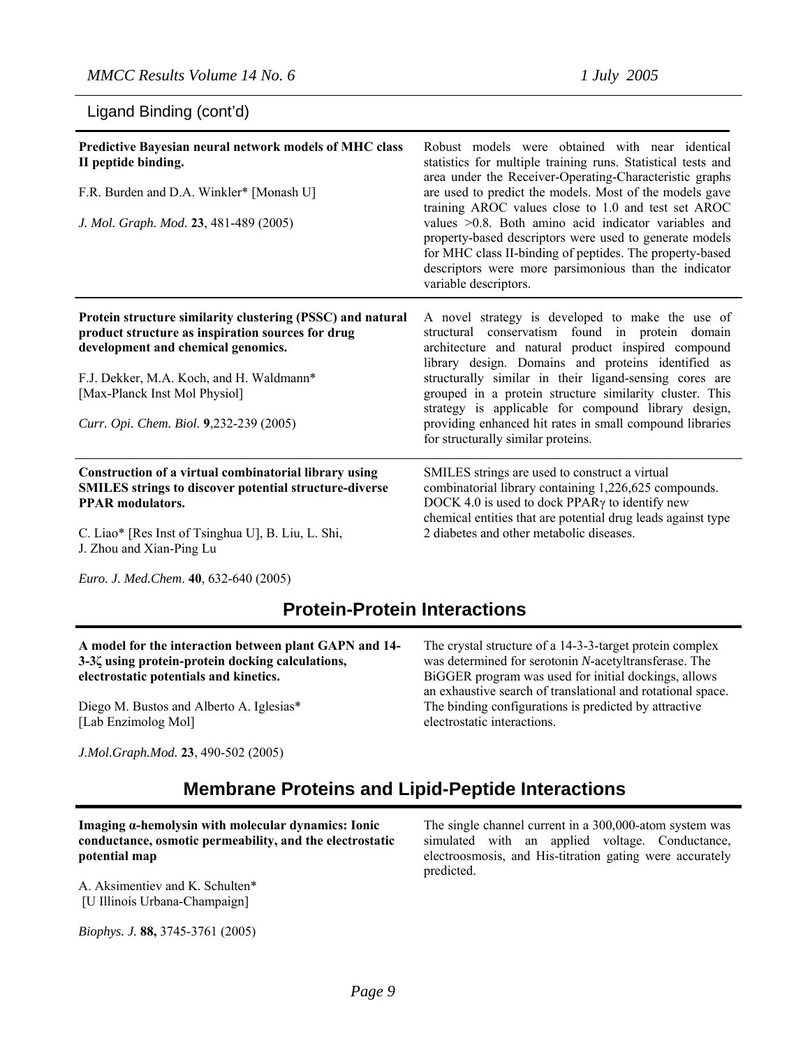## Ligand Binding (cont'd)

| Predictive Bayesian neural network models of MHC class<br>II peptide binding.<br>F.R. Burden and D.A. Winkler* [Monash U]<br>J. Mol. Graph. Mod. 23, 481-489 (2005)                                                                                                           | Robust models were obtained with near identical<br>statistics for multiple training runs. Statistical tests and<br>area under the Receiver-Operating-Characteristic graphs<br>are used to predict the models. Most of the models gave<br>training AROC values close to 1.0 and test set AROC<br>values $>0.8$ . Both amino acid indicator variables and<br>property-based descriptors were used to generate models<br>for MHC class II-binding of peptides. The property-based<br>descriptors were more parsimonious than the indicator<br>variable descriptors. |
|-------------------------------------------------------------------------------------------------------------------------------------------------------------------------------------------------------------------------------------------------------------------------------|------------------------------------------------------------------------------------------------------------------------------------------------------------------------------------------------------------------------------------------------------------------------------------------------------------------------------------------------------------------------------------------------------------------------------------------------------------------------------------------------------------------------------------------------------------------|
| Protein structure similarity clustering (PSSC) and natural<br>product structure as inspiration sources for drug<br>development and chemical genomics.<br>F.J. Dekker, M.A. Koch, and H. Waldmann*<br>[Max-Planck Inst Mol Physiol]<br>Curr. Opi. Chem. Biol. 9,232-239 (2005) | A novel strategy is developed to make the use of<br>structural conservatism found in protein domain<br>architecture and natural product inspired compound<br>library design. Domains and proteins identified as<br>structurally similar in their ligand-sensing cores are<br>grouped in a protein structure similarity cluster. This<br>strategy is applicable for compound library design,<br>providing enhanced hit rates in small compound libraries<br>for structurally similar proteins.                                                                    |
| Construction of a virtual combinatorial library using<br><b>SMILES strings to discover potential structure-diverse</b><br><b>PPAR</b> modulators.<br>C. Liao* [Res Inst of Tsinghua U], B. Liu, L. Shi,<br>J. Zhou and Xian-Ping Lu                                           | SMILES strings are used to construct a virtual<br>combinatorial library containing 1,226,625 compounds.<br>DOCK 4.0 is used to dock PPAR <sub>y</sub> to identify new<br>chemical entities that are potential drug leads against type<br>2 diabetes and other metabolic diseases.                                                                                                                                                                                                                                                                                |

*Euro. J. Med.Chem*. **40**, 632-640 (2005)

# **Protein-Protein Interactions**

| A model for the interaction between plant GAPN and 14- | The crystal structure of a 14-3-3-target protein complex                                                            |
|--------------------------------------------------------|---------------------------------------------------------------------------------------------------------------------|
| 3-34 using protein-protein docking calculations,       | was determined for serotonin N-acetyltransferase. The                                                               |
| electrostatic potentials and kinetics.                 | BiGGER program was used for initial dockings, allows<br>an exhaustive search of translational and rotational space. |
| Diego M. Bustos and Alberto A. Iglesias*               | The binding configurations is predicted by attractive                                                               |
| [Lab Enzimolog Mol]                                    | electrostatic interactions.                                                                                         |
| J.Mol.Graph.Mod. 23, 490-502 (2005)                    |                                                                                                                     |

# **Membrane Proteins and Lipid-Peptide Interactions**

**Imaging α-hemolysin with molecular dynamics: Ionic conductance, osmotic permeability, and the electrostatic potential map**

A. Aksimentiev and K. Schulten\* [U Illinois Urbana-Champaign]

*Biophys. J.* **88,** 3745-3761 (2005)

The single channel current in a 300,000-atom system was simulated with an applied voltage. Conductance, electroosmosis, and His-titration gating were accurately predicted.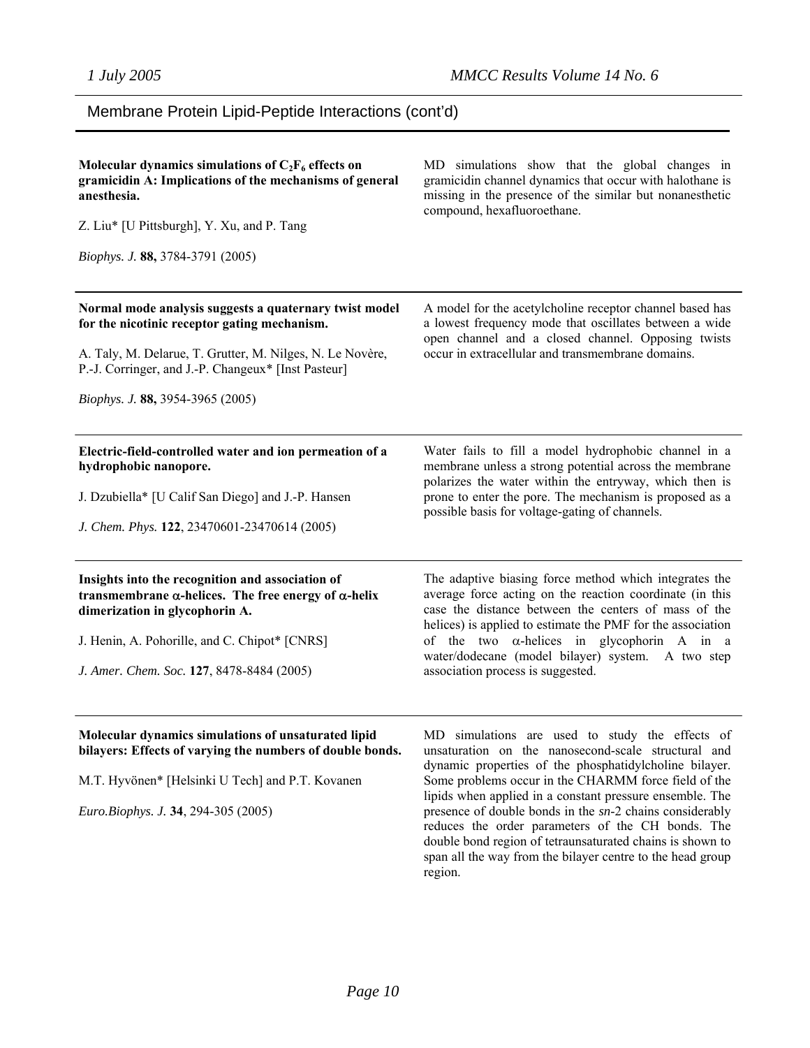reduces the order parameters of the CH bonds. The double bond region of tetraunsaturated chains is shown to span all the way from the bilayer centre to the head group

## Membrane Protein Lipid-Peptide Interactions (cont'd)

| Molecular dynamics simulations of $C_2F_6$ effects on<br>gramicidin A: Implications of the mechanisms of general<br>anesthesia.<br>Z. Liu* [U Pittsburgh], Y. Xu, and P. Tang<br>Biophys. J. 88, 3784-3791 (2005)                                              | MD simulations show that the global changes in<br>gramicidin channel dynamics that occur with halothane is<br>missing in the presence of the similar but nonanesthetic<br>compound, hexafluoroethane.                                                                                                                                                                                     |
|----------------------------------------------------------------------------------------------------------------------------------------------------------------------------------------------------------------------------------------------------------------|-------------------------------------------------------------------------------------------------------------------------------------------------------------------------------------------------------------------------------------------------------------------------------------------------------------------------------------------------------------------------------------------|
| Normal mode analysis suggests a quaternary twist model<br>for the nicotinic receptor gating mechanism.<br>A. Taly, M. Delarue, T. Grutter, M. Nilges, N. Le Novère,<br>P.-J. Corringer, and J.-P. Changeux* [Inst Pasteur]<br>Biophys. J. 88, 3954-3965 (2005) | A model for the acetylcholine receptor channel based has<br>a lowest frequency mode that oscillates between a wide<br>open channel and a closed channel. Opposing twists<br>occur in extracellular and transmembrane domains.                                                                                                                                                             |
| Electric-field-controlled water and ion permeation of a<br>hydrophobic nanopore.<br>J. Dzubiella* [U Calif San Diego] and J.-P. Hansen<br>J. Chem. Phys. 122, 23470601-23470614 (2005)                                                                         | Water fails to fill a model hydrophobic channel in a<br>membrane unless a strong potential across the membrane<br>polarizes the water within the entryway, which then is<br>prone to enter the pore. The mechanism is proposed as a<br>possible basis for voltage-gating of channels.                                                                                                     |
| Insights into the recognition and association of<br>transmembrane $\alpha$ -helices. The free energy of $\alpha$ -helix<br>dimerization in glycophorin A.<br>J. Henin, A. Pohorille, and C. Chipot* [CNRS]<br>J. Amer. Chem. Soc. 127, 8478-8484 (2005)        | The adaptive biasing force method which integrates the<br>average force acting on the reaction coordinate (in this<br>case the distance between the centers of mass of the<br>helices) is applied to estimate the PMF for the association<br>of the two $\alpha$ -helices in glycophorin A in a<br>water/dodecane (model bilayer) system. A two step<br>association process is suggested. |
| Molecular dynamics simulations of unsaturated lipid<br>bilayers: Effects of varying the numbers of double bonds.<br>M.T. Hyvönen* [Helsinki U Tech] and P.T. Kovanen<br>Euro.Biophys. J. 34, 294-305 (2005)                                                    | MD simulations are used to study the effects of<br>unsaturation on the nanosecond-scale structural and<br>dynamic properties of the phosphatidylcholine bilayer.<br>Some problems occur in the CHARMM force field of the<br>lipids when applied in a constant pressure ensemble. The<br>presence of double bonds in the sn-2 chains considerably                                          |

region.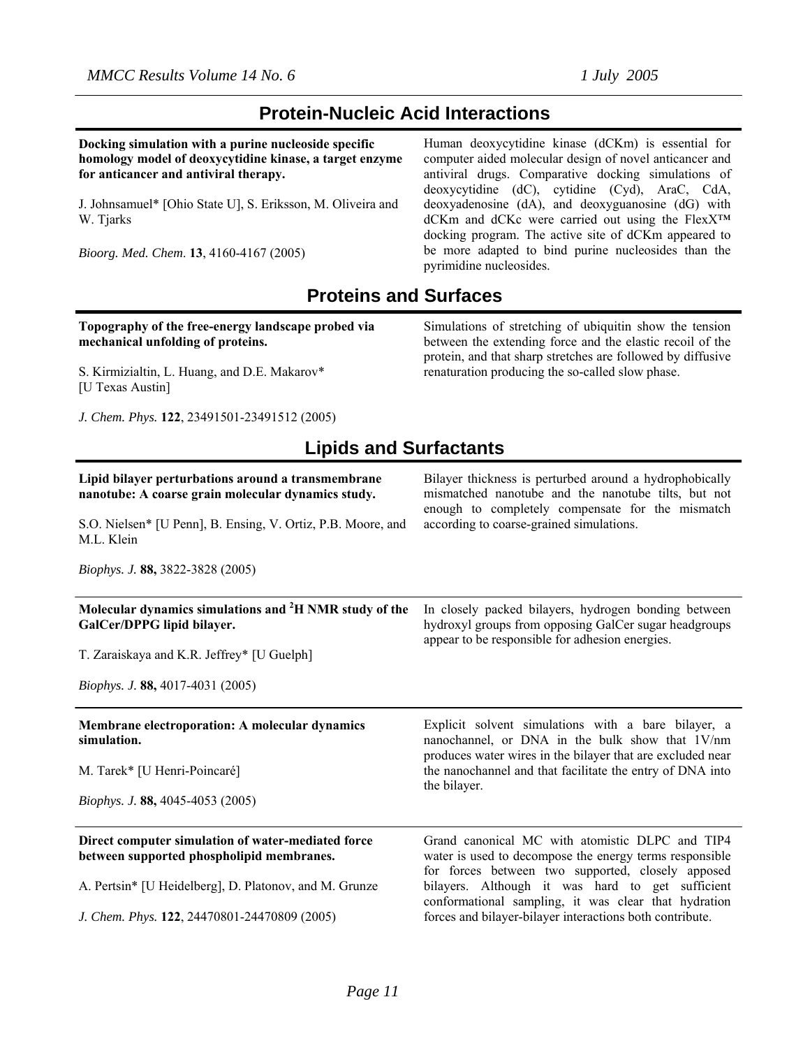# **Protein-Nucleic Acid Interactions**

**Docking simulation with a purine nucleoside specific homology model of deoxycytidine kinase, a target enzyme for anticancer and antiviral therapy.** 

J. Johnsamuel\* [Ohio State U], S. Eriksson, M. Oliveira and W. Tjarks

*Bioorg. Med. Chem*. **13**, 4160-4167 (2005)

Human deoxycytidine kinase (dCKm) is essential for computer aided molecular design of novel anticancer and antiviral drugs. Comparative docking simulations of deoxycytidine (dC), cytidine (Cyd), AraC, CdA, deoxyadenosine (dA), and deoxyguanosine (dG) with dCKm and dCKc were carried out using the FlexX™ docking program. The active site of dCKm appeared to be more adapted to bind purine nucleosides than the pyrimidine nucleosides.

# **Proteins and Surfaces**

#### **Topography of the free-energy landscape probed via mechanical unfolding of proteins.**

S. Kirmizialtin, L. Huang, and D.E. Makarov\* [U Texas Austin]

*J. Chem. Phys.* **122**, 23491501-23491512 (2005)

#### Simulations of stretching of ubiquitin show the tension between the extending force and the elastic recoil of the protein, and that sharp stretches are followed by diffusive renaturation producing the so-called slow phase.

# **Lipids and Surfactants**

| Lipid bilayer perturbations around a transmembrane<br>nanotube: A coarse grain molecular dynamics study. | Bilayer thickness is perturbed around a hydrophobically<br>mismatched nanotube and the nanotube tilts, but not<br>enough to completely compensate for the mismatch   |
|----------------------------------------------------------------------------------------------------------|----------------------------------------------------------------------------------------------------------------------------------------------------------------------|
| S.O. Nielsen* [U Penn], B. Ensing, V. Ortiz, P.B. Moore, and<br>M.L. Klein                               | according to coarse-grained simulations.                                                                                                                             |
| <i>Biophys. J.</i> 88, 3822-3828 (2005)                                                                  |                                                                                                                                                                      |
| Molecular dynamics simulations and <sup>2</sup> H NMR study of the<br>GalCer/DPPG lipid bilayer.         | In closely packed bilayers, hydrogen bonding between<br>hydroxyl groups from opposing GalCer sugar headgroups<br>appear to be responsible for adhesion energies.     |
| T. Zaraiskaya and K.R. Jeffrey* [U Guelph]                                                               |                                                                                                                                                                      |
| <i>Biophys. J.</i> 88, 4017-4031 (2005)                                                                  |                                                                                                                                                                      |
| <b>Membrane electroporation: A molecular dynamics</b><br>simulation.                                     | Explicit solvent simulations with a bare bilayer, a<br>nanochannel, or DNA in the bulk show that 1V/nm<br>produces water wires in the bilayer that are excluded near |
| M. Tarek* [U Henri-Poincaré]                                                                             | the nanochannel and that facilitate the entry of DNA into<br>the bilayer.                                                                                            |
| Biophys. J. 88, 4045-4053 (2005)                                                                         |                                                                                                                                                                      |
| Direct computer simulation of water-mediated force<br>between supported phospholipid membranes.          | Grand canonical MC with atomistic DLPC and TIP4<br>water is used to decompose the energy terms responsible<br>for forces between two supported, closely apposed      |
| A. Pertsin* [U Heidelberg], D. Platonov, and M. Grunze                                                   | bilayers. Although it was hard to get sufficient<br>conformational sampling, it was clear that hydration                                                             |
| J. Chem. Phys. 122, 24470801-24470809 (2005)                                                             | forces and bilayer-bilayer interactions both contribute.                                                                                                             |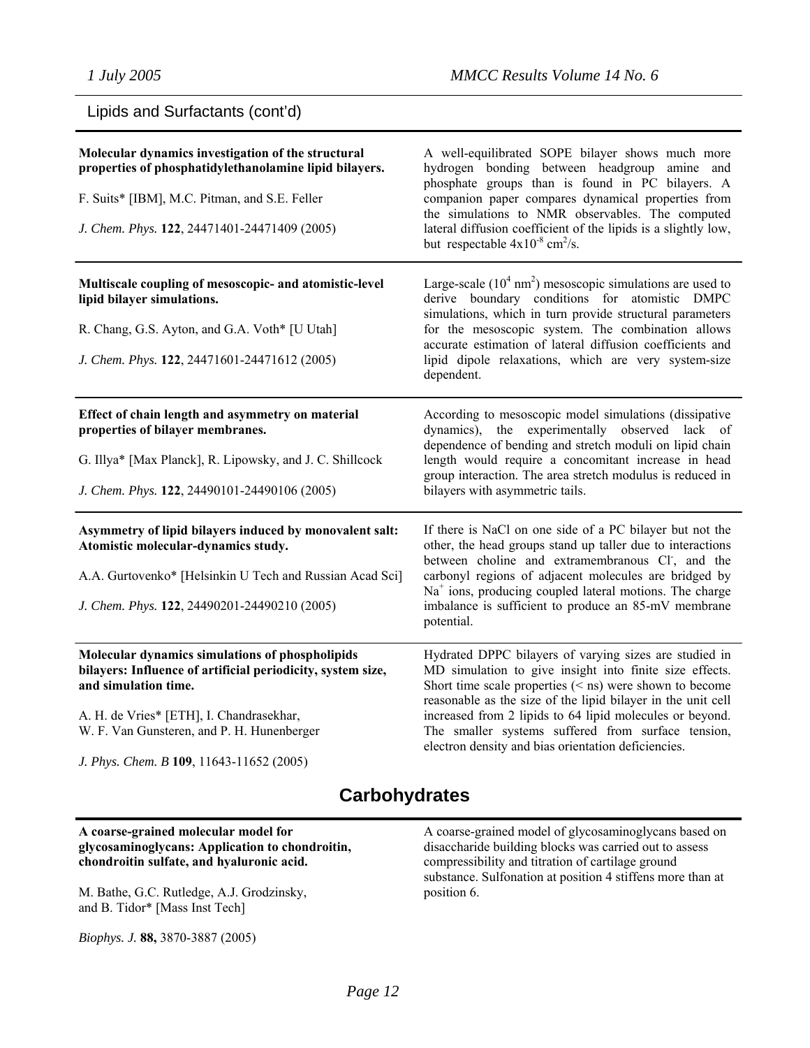| Lipids and Surfactants (cont'd) |  |
|---------------------------------|--|
|---------------------------------|--|

| Molecular dynamics investigation of the structural<br>properties of phosphatidylethanolamine lipid bilayers.<br>F. Suits* [IBM], M.C. Pitman, and S.E. Feller<br>J. Chem. Phys. 122, 24471401-24471409 (2005) | A well-equilibrated SOPE bilayer shows much more<br>hydrogen bonding between headgroup amine and<br>phosphate groups than is found in PC bilayers. A<br>companion paper compares dynamical properties from<br>the simulations to NMR observables. The computed<br>lateral diffusion coefficient of the lipids is a slightly low,<br>but respectable $4x10^{-8}$ cm <sup>2</sup> /s. |  |
|---------------------------------------------------------------------------------------------------------------------------------------------------------------------------------------------------------------|-------------------------------------------------------------------------------------------------------------------------------------------------------------------------------------------------------------------------------------------------------------------------------------------------------------------------------------------------------------------------------------|--|
| Multiscale coupling of mesoscopic- and atomistic-level<br>lipid bilayer simulations.                                                                                                                          | Large-scale $(10^4 \text{ nm}^2)$ mesoscopic simulations are used to<br>derive boundary conditions for atomistic DMPC<br>simulations, which in turn provide structural parameters                                                                                                                                                                                                   |  |
| R. Chang, G.S. Ayton, and G.A. Voth* [U Utah]<br>J. Chem. Phys. 122, 24471601-24471612 (2005)                                                                                                                 | for the mesoscopic system. The combination allows<br>accurate estimation of lateral diffusion coefficients and<br>lipid dipole relaxations, which are very system-size<br>dependent.                                                                                                                                                                                                |  |
| Effect of chain length and asymmetry on material<br>properties of bilayer membranes.                                                                                                                          | According to mesoscopic model simulations (dissipative<br>dynamics), the experimentally observed lack of<br>dependence of bending and stretch moduli on lipid chain                                                                                                                                                                                                                 |  |
| G. Illya* [Max Planck], R. Lipowsky, and J. C. Shillcock<br>J. Chem. Phys. 122, 24490101-24490106 (2005)                                                                                                      | length would require a concomitant increase in head<br>group interaction. The area stretch modulus is reduced in<br>bilayers with asymmetric tails.                                                                                                                                                                                                                                 |  |
| Asymmetry of lipid bilayers induced by monovalent salt:<br>Atomistic molecular-dynamics study.                                                                                                                | If there is NaCl on one side of a PC bilayer but not the<br>other, the head groups stand up taller due to interactions<br>between choline and extramembranous CI, and the                                                                                                                                                                                                           |  |
| A.A. Gurtovenko* [Helsinkin U Tech and Russian Acad Sci]                                                                                                                                                      | carbonyl regions of adjacent molecules are bridged by<br>$Na+$ ions, producing coupled lateral motions. The charge                                                                                                                                                                                                                                                                  |  |
| J. Chem. Phys. 122, 24490201-24490210 (2005)                                                                                                                                                                  | imbalance is sufficient to produce an 85-mV membrane<br>potential.                                                                                                                                                                                                                                                                                                                  |  |
| Molecular dynamics simulations of phospholipids<br>bilayers: Influence of artificial periodicity, system size,<br>and simulation time.                                                                        | Hydrated DPPC bilayers of varying sizes are studied in<br>MD simulation to give insight into finite size effects.<br>Short time scale properties $(<$ ns) were shown to become<br>reasonable as the size of the lipid bilayer in the unit cell                                                                                                                                      |  |
| A. H. de Vries* [ETH], I. Chandrasekhar,<br>W. F. Van Gunsteren, and P. H. Hunenberger                                                                                                                        | increased from 2 lipids to 64 lipid molecules or beyond.<br>The smaller systems suffered from surface tension,<br>electron density and bias orientation deficiencies.                                                                                                                                                                                                               |  |
| J. Phys. Chem. B 109, 11643-11652 (2005)                                                                                                                                                                      |                                                                                                                                                                                                                                                                                                                                                                                     |  |

# **Carbohydrates**

#### **A coarse-grained molecular model for glycosaminoglycans: Application to chondroitin, chondroitin sulfate, and hyaluronic acid.**

M. Bathe, G.C. Rutledge, A.J. Grodzinsky, and B. Tidor\* [Mass Inst Tech]

*Biophys. J.* **88,** 3870-3887 (2005)

A coarse-grained model of glycosaminoglycans based on disaccharide building blocks was carried out to assess compressibility and titration of cartilage ground substance. Sulfonation at position 4 stiffens more than at position 6.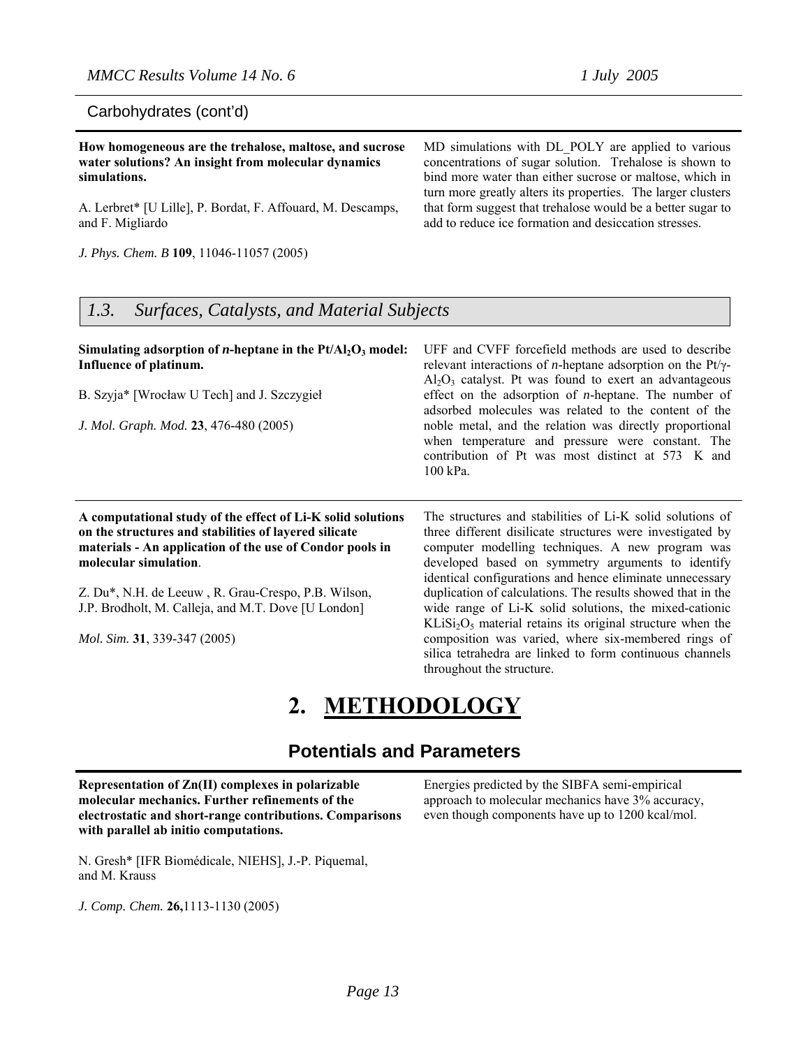#### Carbohydrates (cont'd)

**How homogeneous are the trehalose, maltose, and sucrose water solutions? An insight from molecular dynamics simulations.**

A. Lerbret\* [U Lille], P. Bordat, F. Affouard, M. Descamps, and F. Migliardo

*J. Phys. Chem. B* **109**, 11046-11057 (2005)

MD simulations with DL\_POLY are applied to various concentrations of sugar solution. Trehalose is shown to bind more water than either sucrose or maltose, which in turn more greatly alters its properties. The larger clusters that form suggest that trehalose would be a better sugar to add to reduce ice formation and desiccation stresses.

## *1.3. Surfaces, Catalysts, and Material Subjects*

#### Simulating adsorption of *n*-heptane in the Pt/Al<sub>2</sub>O<sub>3</sub> model: **Influence of platinum.**

B. Szyja\* [Wrocław U Tech] and J. Szczygieł

*J. Mol. Graph. Mod.* **23**, 476-480 (2005)

**A computational study of the effect of Li-K solid solutions on the structures and stabilities of layered silicate materials - An application of the use of Condor pools in molecular simulation**.

Z. Du\*, N.H. de Leeuw , R. Grau-Crespo, P.B. Wilson, J.P. Brodholt, M. Calleja, and M.T. Dove [U London]

*Mol. Sim.* **31**, 339-347 (2005)

UFF and CVFF forcefield methods are used to describe relevant interactions of *n*-heptane adsorption on the Pt/γ- $Al_2O_3$  catalyst. Pt was found to exert an advantageous effect on the adsorption of *n*-heptane. The number of adsorbed molecules was related to the content of the noble metal, and the relation was directly proportional when temperature and pressure were constant. The contribution of Pt was most distinct at 573 K and 100 kPa.

The structures and stabilities of Li-K solid solutions of three different disilicate structures were investigated by computer modelling techniques. A new program was developed based on symmetry arguments to identify identical configurations and hence eliminate unnecessary duplication of calculations. The results showed that in the wide range of Li-K solid solutions, the mixed-cationic  $KLiSi<sub>2</sub>O<sub>5</sub>$  material retains its original structure when the composition was varied, where six-membered rings of silica tetrahedra are linked to form continuous channels throughout the structure.

# **2. METHODOLOGY**

## **Potentials and Parameters**

**Representation of Zn(II) complexes in polarizable molecular mechanics. Further refinements of the electrostatic and short-range contributions. Comparisons with parallel ab initio computations.**

Energies predicted by the SIBFA semi-empirical approach to molecular mechanics have 3% accuracy, even though components have up to 1200 kcal/mol.

N. Gresh\* [IFR Biomédicale, NIEHS], J.-P. Piquemal, and M. Krauss

*J. Comp. Chem.* **26,**1113-1130 (2005)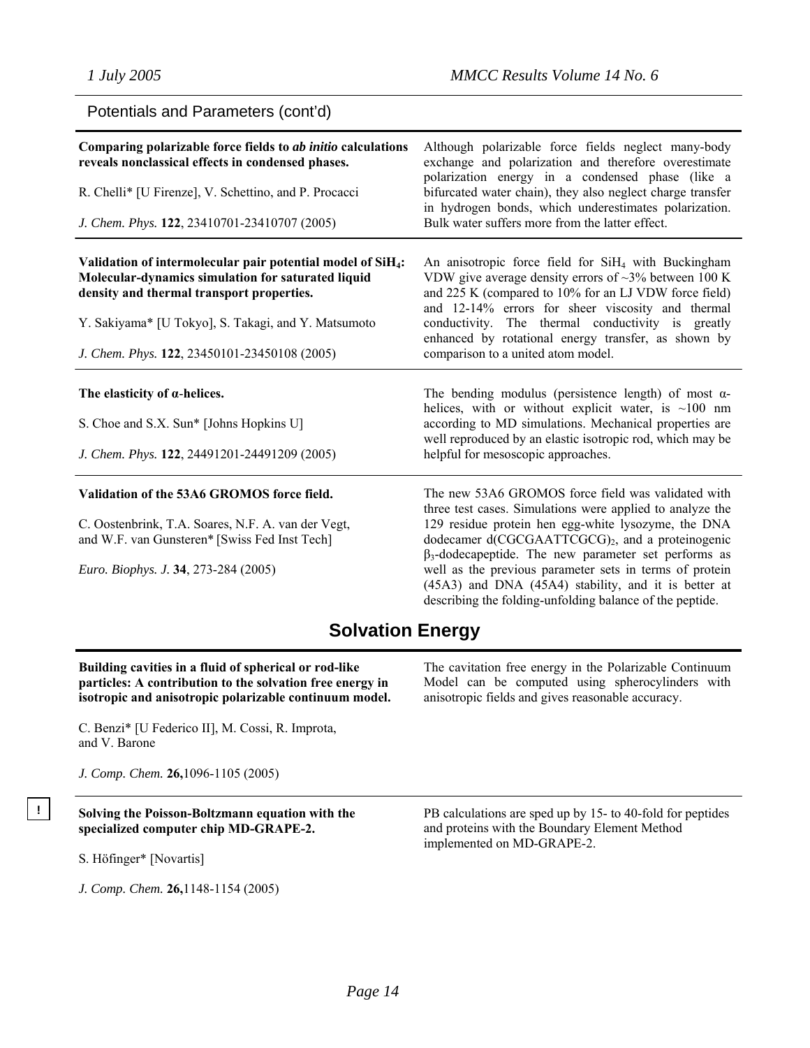Potentials and Parameters (cont'd)

| Comparing polarizable force fields to ab initio calculations<br>reveals nonclassical effects in condensed phases.<br>R. Chelli* [U Firenze], V. Schettino, and P. Procacci<br>J. Chem. Phys. 122, 23410701-23410707 (2005)                                                        | Although polarizable force fields neglect many-body<br>exchange and polarization and therefore overestimate<br>polarization energy in a condensed phase (like a<br>bifurcated water chain), they also neglect charge transfer<br>in hydrogen bonds, which underestimates polarization.<br>Bulk water suffers more from the latter effect.                                                                                                                                            |
|-----------------------------------------------------------------------------------------------------------------------------------------------------------------------------------------------------------------------------------------------------------------------------------|--------------------------------------------------------------------------------------------------------------------------------------------------------------------------------------------------------------------------------------------------------------------------------------------------------------------------------------------------------------------------------------------------------------------------------------------------------------------------------------|
| Validation of intermolecular pair potential model of SiH <sub>4</sub> :<br>Molecular-dynamics simulation for saturated liquid<br>density and thermal transport properties.<br>Y. Sakiyama* [U Tokyo], S. Takagi, and Y. Matsumoto<br>J. Chem. Phys. 122, 23450101-23450108 (2005) | An anisotropic force field for SiH <sub>4</sub> with Buckingham<br>VDW give average density errors of $\sim$ 3% between 100 K<br>and 225 K (compared to 10% for an LJ VDW force field)<br>and 12-14% errors for sheer viscosity and thermal<br>conductivity. The thermal conductivity is greatly<br>enhanced by rotational energy transfer, as shown by<br>comparison to a united atom model.                                                                                        |
| The elasticity of $\alpha$ -helices.<br>S. Choe and S.X. Sun* [Johns Hopkins U]<br>J. Chem. Phys. 122, 24491201-24491209 (2005)                                                                                                                                                   | The bending modulus (persistence length) of most $\alpha$ -<br>helices, with or without explicit water, is $\sim$ 100 nm<br>according to MD simulations. Mechanical properties are<br>well reproduced by an elastic isotropic rod, which may be<br>helpful for mesoscopic approaches.                                                                                                                                                                                                |
| Validation of the 53A6 GROMOS force field.<br>C. Oostenbrink, T.A. Soares, N.F. A. van der Vegt,<br>and W.F. van Gunsteren* [Swiss Fed Inst Tech]<br>Euro. Biophys. J. 34, 273-284 (2005)                                                                                         | The new 53A6 GROMOS force field was validated with<br>three test cases. Simulations were applied to analyze the<br>129 residue protein hen egg-white lysozyme, the DNA<br>dodecamer d(CGCGAATTCGCG) <sub>2</sub> , and a proteinogenic<br>$\beta_3$ -dodecapeptide. The new parameter set performs as<br>well as the previous parameter sets in terms of protein<br>(45A3) and DNA (45A4) stability, and it is better at<br>describing the folding-unfolding balance of the peptide. |

# **Solvation Energy**

**Building cavities in a fluid of spherical or rod-like particles: A contribution to the solvation free energy in isotropic and anisotropic polarizable continuum model.** 

C. Benzi\* [U Federico II], M. Cossi, R. Improta, and V. Barone

*J. Comp. Chem.* **26,**1096-1105 (2005)

## **! Solving the Poisson-Boltzmann equation with the specialized computer chip MD-GRAPE-2.**

S. Höfinger\* [Novartis]

*J. Comp. Chem.* **26,**1148-1154 (2005)

The cavitation free energy in the Polarizable Continuum Model can be computed using spherocylinders with anisotropic fields and gives reasonable accuracy.

PB calculations are sped up by 15- to 40-fold for peptides and proteins with the Boundary Element Method implemented on MD-GRAPE-2.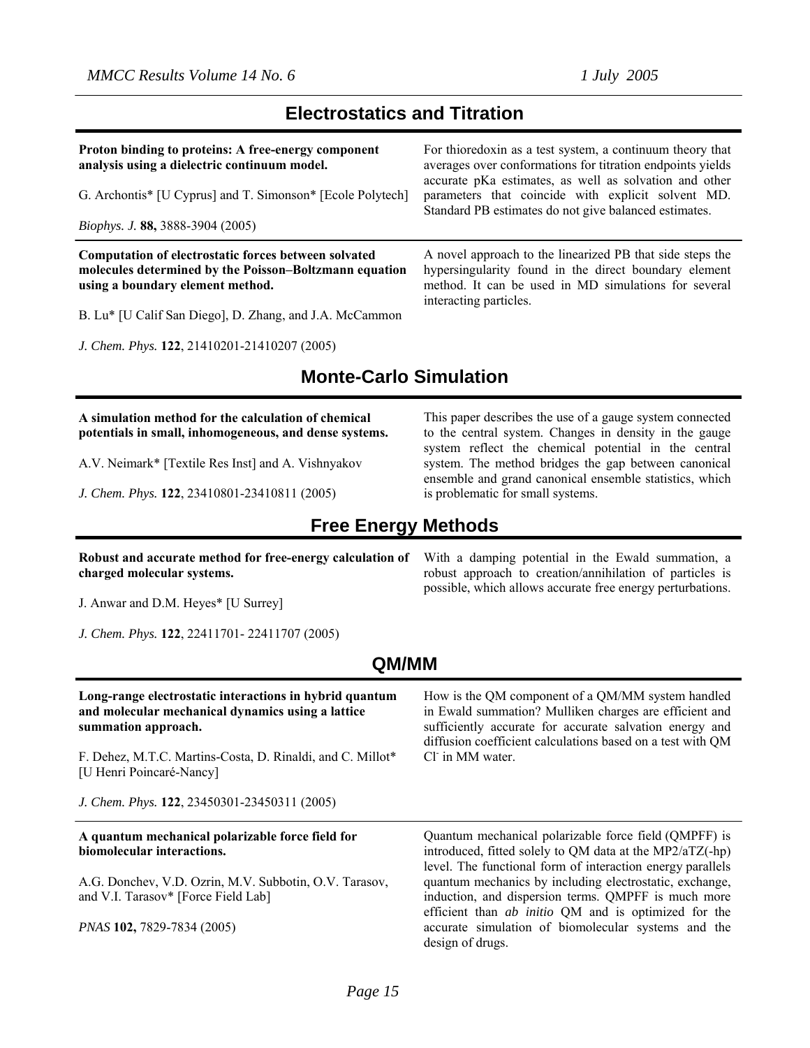## **Electrostatics and Titration**

**Proton binding to proteins: A free-energy component analysis using a dielectric continuum model.**  G. Archontis\* [U Cyprus] and T. Simonson\* [Ecole Polytech] *Biophys. J.* **88,** 3888-3904 (2005) For thioredoxin as a test system, a continuum theory that averages over conformations for titration endpoints yields accurate pKa estimates, as well as solvation and other parameters that coincide with explicit solvent MD. Standard PB estimates do not give balanced estimates. **Computation of electrostatic forces between solvated molecules determined by the Poisson–Boltzmann equation using a boundary element method.**  B. Lu\* [U Calif San Diego], D. Zhang, and J.A. McCammon A novel approach to the linearized PB that side steps the hypersingularity found in the direct boundary element method. It can be used in MD simulations for several interacting particles.

*J. Chem. Phys.* **122**, 21410201-21410207 (2005)

# **Monte-Carlo Simulation**

#### **A simulation method for the calculation of chemical potentials in small, inhomogeneous, and dense systems.**

A.V. Neimark\* [Textile Res Inst] and A. Vishnyakov

*J. Chem. Phys.* **122**, 23410801-23410811 (2005)

## **Free Energy Methods**

**Robust and accurate method for free-energy calculation of charged molecular systems.** 

J. Anwar and D.M. Heyes\* [U Surrey]

*J. Chem. Phys.* **122**, 22411701- 22411707 (2005)

## **QM/MM**

| Long-range electrostatic interactions in hybrid quantum<br>and molecular mechanical dynamics using a lattice<br>summation approach. | How is the QM component of a QM/MM system handled<br>in Ewald summation? Mulliken charges are efficient and<br>sufficiently accurate for accurate salvation energy and<br>diffusion coefficient calculations based on a test with QM        |
|-------------------------------------------------------------------------------------------------------------------------------------|---------------------------------------------------------------------------------------------------------------------------------------------------------------------------------------------------------------------------------------------|
| F. Dehez, M.T.C. Martins-Costa, D. Rinaldi, and C. Millot*<br>[U Henri Poincaré-Nancy]                                              | Cl in MM water.                                                                                                                                                                                                                             |
| J. Chem. Phys. 122, 23450301-23450311 (2005)                                                                                        |                                                                                                                                                                                                                                             |
|                                                                                                                                     |                                                                                                                                                                                                                                             |
| A quantum mechanical polarizable force field for<br>biomolecular interactions.                                                      | Quantum mechanical polarizable force field (QMPFF) is<br>introduced, fitted solely to QM data at the MP2/aTZ(-hp)                                                                                                                           |
| A.G. Donchev, V.D. Ozrin, M.V. Subbotin, O.V. Tarasov,<br>and V.I. Tarasov* [Force Field Lab]                                       | level. The functional form of interaction energy parallels<br>quantum mechanics by including electrostatic, exchange,<br>induction, and dispersion terms. QMPFF is much more<br>efficient than <i>ab initio</i> QM and is optimized for the |

design of drugs.

This paper describes the use of a gauge system connected to the central system. Changes in density in the gauge system reflect the chemical potential in the central system. The method bridges the gap between canonical ensemble and grand canonical ensemble statistics, which is problematic for small systems.

With a damping potential in the Ewald summation, a robust approach to creation/annihilation of particles is possible, which allows accurate free energy perturbations.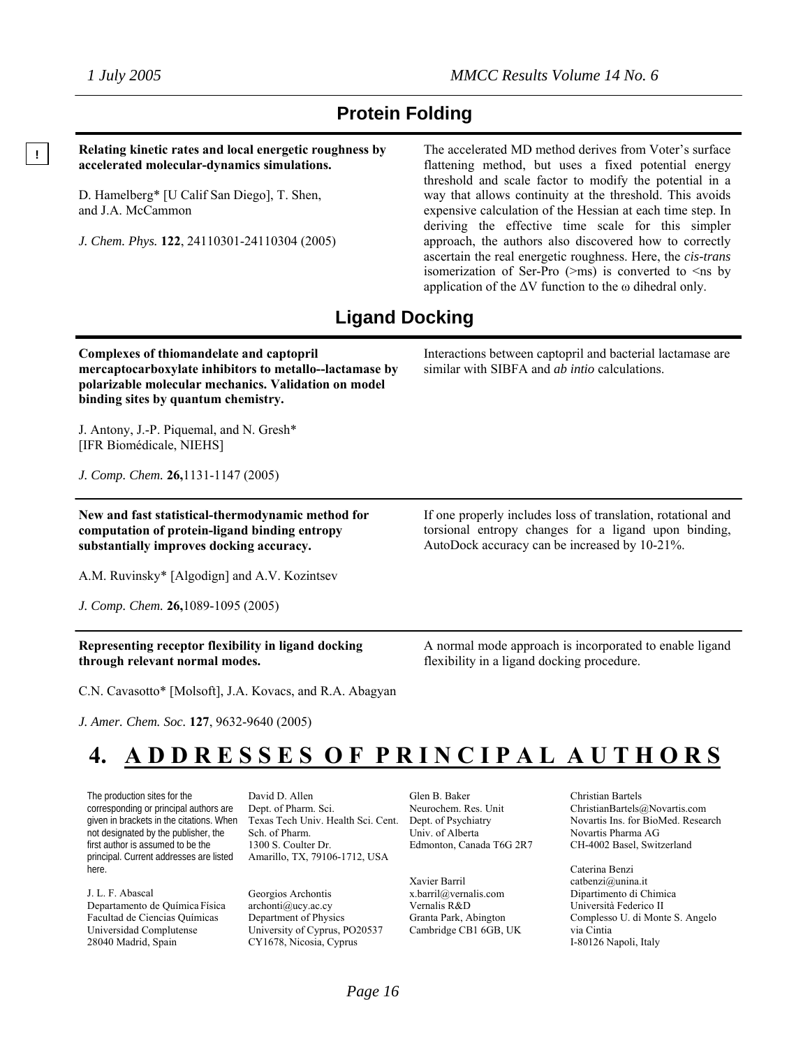**!** 

# **Protein Folding**

**Relating kinetic rates and local energetic roughness by accelerated molecular-dynamics simulations.** 

D. Hamelberg\* [U Calif San Diego], T. Shen, and J.A. McCammon

*J. Chem. Phys.* **122**, 24110301-24110304 (2005)

The accelerated MD method derives from Voter's surface flattening method, but uses a fixed potential energy threshold and scale factor to modify the potential in a way that allows continuity at the threshold. This avoids expensive calculation of the Hessian at each time step. In deriving the effective time scale for this simpler approach, the authors also discovered how to correctly ascertain the real energetic roughness. Here, the *cis-trans* isomerization of Ser-Pro  $(\geq m s)$  is converted to  $\leq m s$  by application of the  $\Delta V$  function to the  $\omega$  dihedral only.

# **Ligand Docking**

**Complexes of thiomandelate and captopril mercaptocarboxylate inhibitors to metallo--lactamase by polarizable molecular mechanics. Validation on model binding sites by quantum chemistry.** 

J. Antony, J.-P. Piquemal, and N. Gresh\* [IFR Biomédicale, NIEHS]

*J. Comp. Chem.* **26,**1131-1147 (2005)

**New and fast statistical-thermodynamic method for computation of protein-ligand binding entropy substantially improves docking accuracy.** 

A.M. Ruvinsky\* [Algodign] and A.V. Kozintsev

*J. Comp. Chem.* **26,**1089-1095 (2005)

**Representing receptor flexibility in ligand docking through relevant normal modes.**

C.N. Cavasotto\* [Molsoft], J.A. Kovacs, and R.A. Abagyan

*J. Amer. Chem. Soc.* **127**, 9632-9640 (2005)

Interactions between captopril and bacterial lactamase are

similar with SIBFA and *ab intio* calculations.

If one properly includes loss of translation, rotational and torsional entropy changes for a ligand upon binding, AutoDock accuracy can be increased by 10-21%.

A normal mode approach is incorporated to enable ligand flexibility in a ligand docking procedure.

# **4. A D D R E S S E S O F P R I N C I P A L A U T H O R S**

The production sites for the corresponding or principal authors are given in brackets in the citations. When not designated by the publisher, the first author is assumed to be the principal. Current addresses are listed here.

J. L. F. Abascal Departamento de Química Física Facultad de Ciencias Químicas Universidad Complutense 28040 Madrid, Spain

David D. Allen Dept. of Pharm. Sci. Texas Tech Univ. Health Sci. Cent. Sch. of Pharm. 1300 S. Coulter Dr. Amarillo, TX, 79106-1712, USA

Georgios Archontis archonti@ucy.ac.cy Department of Physics University of Cyprus, PO20537 CY1678, Nicosia, Cyprus

Glen B. Baker Neurochem. Res. Unit Dept. of Psychiatry Univ. of Alberta Edmonton, Canada T6G 2R7

Xavier Barril x.barril@vernalis.com Vernalis R&D Granta Park, Abington Cambridge CB1 6GB, UK Christian Bartels ChristianBartels@Novartis.com Novartis Ins. for BioMed. Research Novartis Pharma AG CH-4002 Basel, Switzerland

Caterina Benzi catbenzi@unina.it Dipartimento di Chimica Università Federico II Complesso U. di Monte S. Angelo via Cintia I-80126 Napoli, Italy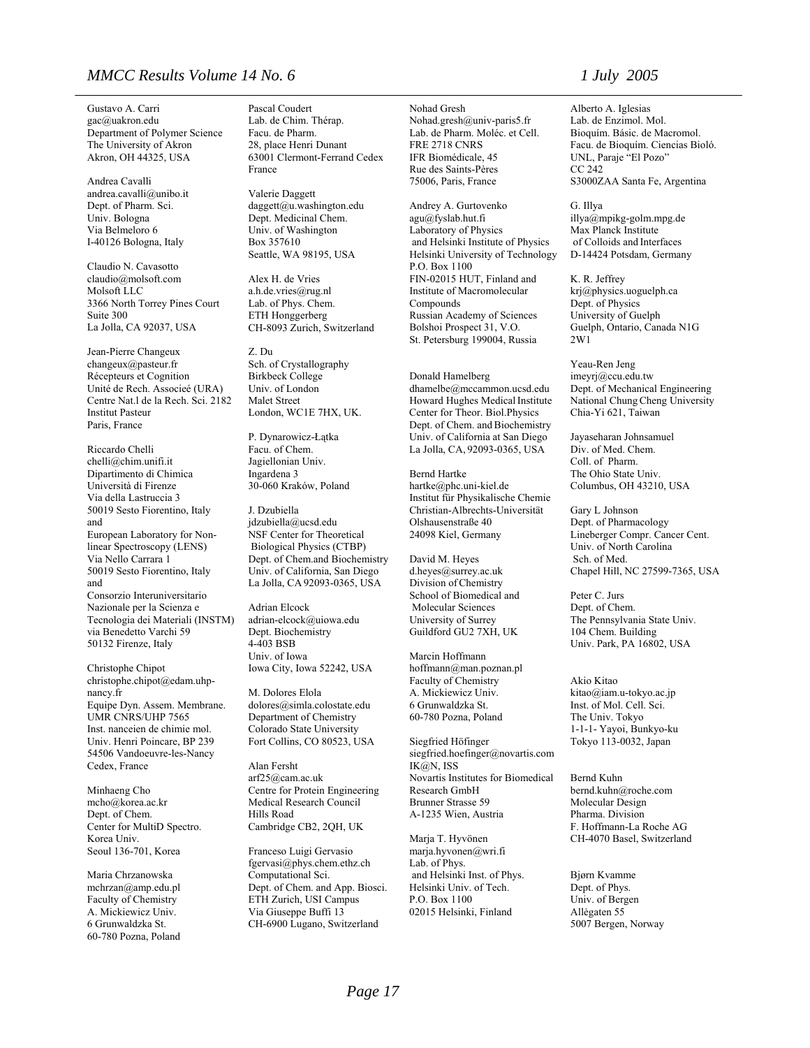#### *MMCC Results Volume 14 No. 6 1 July 2005*

Gustavo A. Carri gac@uakron.edu Department of Polymer Science The University of Akron Akron, OH 44325, USA

Andrea Cavalli andrea.cavalli@unibo.it Dept. of Pharm. Sci. Univ. Bologna Via Belmeloro 6 I-40126 Bologna, Italy

Claudio N. Cavasotto claudio@molsoft.com Molsoft LLC 3366 North Torrey Pines Court Suite 300 La Jolla, CA 92037, USA

Jean-Pierre Changeux changeux@pasteur.fr Récepteurs et Cognition Unité de Rech. Associeé (URA) Centre Nat.l de la Rech. Sci. 2182 Institut Pasteur Paris, France

Riccardo Chelli chelli@chim.unifi.it Dipartimento di Chimica Università di Firenze Via della Lastruccia 3 50019 Sesto Fiorentino, Italy and European Laboratory for Nonlinear Spectroscopy (LENS) Via Nello Carrara 1 50019 Sesto Fiorentino, Italy and Consorzio Interuniversitario Nazionale per la Scienza e Tecnologia dei Materiali (INSTM) via Benedetto Varchi 59 50132 Firenze, Italy

Christophe Chipot christophe.chipot@edam.uhpnancy.fr Equipe Dyn. Assem. Membrane. UMR CNRS/UHP 7565 Inst. nanceien de chimie mol. Univ. Henri Poincare, BP 239 54506 Vandoeuvre-les-Nancy Cedex, France

Minhaeng Cho mcho@korea.ac.kr Dept. of Chem. Center for MultiD Spectro. Korea Univ. Seoul 136-701, Korea

Maria Chrzanowska mchrzan@amp.edu.pl Faculty of Chemistry A. Mickiewicz Univ. 6 Grunwaldzka St. 60-780 Pozna, Poland

Pascal Coudert Lab. de Chim. Thérap. Facu. de Pharm. 28, place Henri Dunant 63001 Clermont-Ferrand Cedex France

Valerie Daggett daggett@u.washington.edu Dept. Medicinal Chem. Univ. of Washington Box 357610 Seattle, WA 98195, USA

Alex H. de Vries a.h.de.vries@rug.nl Lab. of Phys. Chem. ETH Honggerberg CH-8093 Zurich, Switzerland

Z. Du Sch. of Crystallography Birkbeck College Univ. of London Malet Street London, WC1E 7HX, UK.

P. Dynarowicz-Łątka Facu. of Chem. Jagiellonian Univ. Ingardena 3 30-060 Kraków, Poland

J. Dzubiella jdzubiella@ucsd.edu NSF Center for Theoretical Biological Physics (CTBP) Dept. of Chem.and Biochemistry Univ. of California, San Diego La Jolla, CA 92093-0365, USA

Adrian Elcock adrian-elcock@uiowa.edu Dept. Biochemistry 4-403 BSB Univ. of Iowa Iowa City, Iowa 52242, USA

M. Dolores Elola dolores@simla.colostate.edu Department of Chemistry Colorado State University Fort Collins, CO 80523, USA

Alan Fersht arf25@cam.ac.uk Centre for Protein Engineering Medical Research Council Hills Road Cambridge CB2, 2QH, UK

Franceso Luigi Gervasio fgervasi@phys.chem.ethz.ch Computational Sci. Dept. of Chem. and App. Biosci. ETH Zurich, USI Campus Via Giuseppe Buffi 13 CH-6900 Lugano, Switzerland

Nohad Gresh Nohad.gresh@univ-paris5.fr Lab. de Pharm. Moléc. et Cell. FRE 2718 CNRS IFR Biomédicale, 45 Rue des Saints-Pères 75006, Paris, France

Andrey A. Gurtovenko agu@fyslab.hut.fi Laboratory of Physics and Helsinki Institute of Physics Helsinki University of Technology P.O. Box 1100 FIN-02015 HUT, Finland and Institute of Macromolecular Compounds Russian Academy of Sciences Bolshoi Prospect 31, V.O. St. Petersburg 199004, Russia

Donald Hamelberg dhamelbe@mccammon.ucsd.edu Howard Hughes Medical Institute Center for Theor. Biol.Physics Dept. of Chem. and Biochemistry Univ. of California at San Diego La Jolla, CA, 92093-0365, USA

Bernd Hartke hartke@phc.uni-kiel.de Institut für Physikalische Chemie Christian-Albrechts-Universität Olshausenstraße 40 24098 Kiel, Germany

David M. Heyes d.heyes@surrey.ac.uk Division ofChemistry School of Biomedical and Molecular Sciences University of Surrey Guildford GU2 7XH, UK

Marcin Hoffmann hoffmann@man.poznan.pl Faculty of Chemistry A. Mickiewicz Univ. 6 Grunwaldzka St. 60-780 Pozna, Poland

Siegfried Höfinger siegfried.hoefinger@novartis.com IK@N, ISS Novartis Institutes for Biomedical Research GmbH Brunner Strasse 59 A-1235 Wien, Austria

Marja T. Hyvönen [marja.hyvonen@wri.fi](mailto:marja.hyvonen@wri.fi) Lab. of Phys. and Helsinki Inst. of Phys. Helsinki Univ. of Tech. P.O. Box 1100 02015 Helsinki, Finland

Alberto A. Iglesias Lab. de Enzimol. Mol. Bioquím. Básic. de Macromol. Facu. de Bioquím. Ciencias Bioló. UNL, Paraje "El Pozo" CC 242 S3000ZAA Santa Fe, Argentina

G. Illya illya@mpikg-golm.mpg.de Max Planck Institute of Colloids and Interfaces D-14424 Potsdam, Germany

K. R. Jeffrey krj@physics.uoguelph.ca Dept. of Physics University of Guelph Guelph, Ontario, Canada N1G 2W1

Yeau-Ren Jeng imeyrj@ccu.edu.tw Dept. of Mechanical Engineering National Chung Cheng University Chia-Yi 621, Taiwan

Jayaseharan Johnsamuel Div. of Med. Chem. Coll. of Pharm. The Ohio State Univ. Columbus, OH 43210, USA

Gary L Johnson Dept. of Pharmacology Lineberger Compr. Cancer Cent. Univ. of North Carolina Sch. of Med. Chapel Hill, NC 27599-7365, USA

Peter C. Jurs Dept. of Chem. The Pennsylvania State Univ. 104 Chem. Building Univ. Park, PA 16802, USA

Akio Kitao kitao@iam.u-tokyo.ac.jp Inst. of Mol. Cell. Sci. The Univ. Tokyo 1-1-1- Yayoi, Bunkyo-ku Tokyo 113-0032, Japan

Bernd Kuhn bernd.kuhn@roche.com Molecular Design Pharma. Division F. Hoffmann-La Roche AG CH-4070 Basel, Switzerland

Bjørn Kvamme Dept. of Phys. Univ. of Bergen Allėgaten 55 5007 Bergen, Norway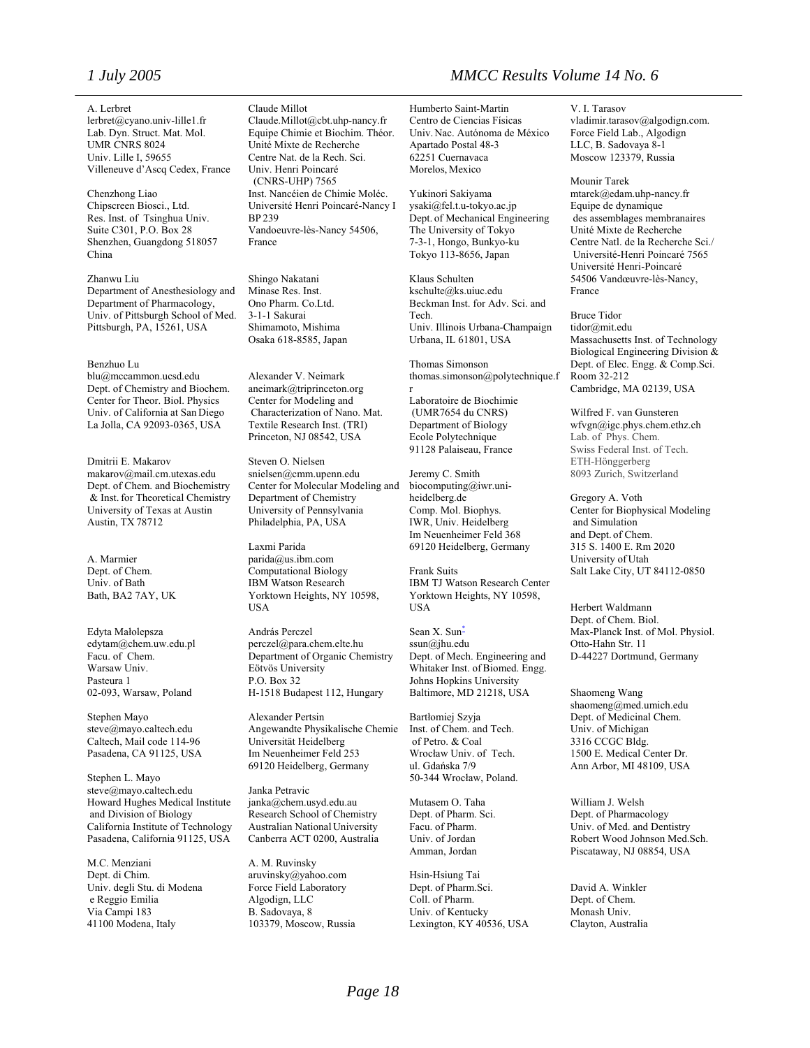A. Lerbret lerbret@cyano.univ-lille1.fr Lab. Dyn. Struct. Mat. Mol. UMR CNRS 8024 Univ. Lille I, 59655 Villeneuve d'Ascq Cedex, France

Chenzhong Liao Chipscreen Biosci., Ltd. Res. Inst. of Tsinghua Univ. Suite C301, P.O. Box 28 Shenzhen, Guangdong 518057 China

Zhanwu Liu Department of Anesthesiology and Department of Pharmacology, Univ. of Pittsburgh School of Med. Pittsburgh, PA, 15261, USA

#### Benzhuo Lu

blu@mccammon.ucsd.edu Dept. of Chemistry and Biochem. Center for Theor. Biol. Physics Univ. of California at San Diego La Jolla, CA 92093-0365, USA

Dmitrii E. Makarov makarov@mail.cm.utexas.edu Dept. of Chem. and Biochemistry & Inst.for Theoretical Chemistry University of Texas at Austin Austin, TX 78712

A. Marmier Dept. of Chem. Univ. of Bath Bath, BA2 7AY, UK

Edyta Małolepsza [edytam@chem.uw.edu.pl](mailto:edytam@chem.uw.edu.pl) Facu. of Chem. Warsaw Univ. Pasteura 1 02-093, Warsaw, Poland

Stephen Mayo steve@mayo.caltech.edu Caltech, Mail code 114-96 Pasadena, CA 91125, USA

Stephen L. Mayo steve@mayo.caltech.edu Howard Hughes Medical Institute and Division of Biology California Institute of Technology Pasadena, California 91125, USA

M.C. Menziani Dept. di Chim. Univ. degli Stu. di Modena e Reggio Emilia Via Campi 183 41100 Modena, Italy

#### Claude Millot

Claude.Millot@cbt.uhp-nancy.fr Equipe Chimie et Biochim. Théor. Unité Mixte de Recherche Centre Nat. de la Rech. Sci. Univ. Henri Poincaré (CNRS-UHP) 7565 Inst. Nancéien de Chimie Moléc. Université Henri Poincaré-Nancy I BP 239 Vandoeuvre-lès-Nancy 54506, France

Shingo Nakatani Minase Res. Inst. Ono Pharm. Co.Ltd. 3-1-1 Sakurai Shimamoto, Mishima Osaka 618-8585, Japan

Alexander V. Neimark aneimark@triprinceton.org Center for Modeling and Characterization of Nano. Mat. Textile Research Inst. (TRI) Princeton, NJ 08542, USA

Steven O. Nielsen snielsen@cmm.upenn.edu Center for Molecular Modeling and Department of Chemistry University of Pennsylvania Philadelphia, PA, USA

Laxmi Parida parida@us.ibm.com Computational Biology IBM Watson Research Yorktown Heights, NY 10598, USA

András Perczel perczel@para.chem.elte.hu Department of Organic Chemistry Eötvös University P.O. Box 32 H-1518 Budapest 112, Hungary

Alexander Pertsin Angewandte Physikalische Chemie Universität Heidelberg Im Neuenheimer Feld 253 69120 Heidelberg, Germany

Janka Petravic janka@chem.usyd.edu.au Research School of Chemistry Australian National University Canberra ACT 0200, Australia

A. M. Ruvinsky aruvinsky@yahoo.com Force Field Laboratory Algodign, LLC B. Sadovaya, 8 103379, Moscow, Russia

### *1 July 2005 MMCC Results Volume 14 No. 6*

Humberto Saint-Martin Centro de Ciencias Físicas Univ. Nac. Autónoma de México Apartado Postal 48-3 62251 Cuernavaca Morelos, Mexico

Yukinori Sakiyama ysaki@fel.t.u-tokyo.ac.jp Dept. of Mechanical Engineering The University of Tokyo 7-3-1, Hongo, Bunkyo-ku Tokyo 113-8656, Japan

Klaus Schulten kschulte@ks.uiuc.edu Beckman Inst. for Adv. Sci. and Tech. Univ. Illinois Urbana-Champaign Urbana, IL 61801, USA

Thomas Simonson thomas.simonson@polytechnique.f r

Laboratoire de Biochimie (UMR7654 du CNRS) Department of Biology Ecole Polytechnique 91128 Palaiseau, France

Jeremy C. Smith biocomputing@iwr.uniheidelberg.de Comp. Mol. Biophys. IWR, Univ. Heidelberg Im Neuenheimer Feld 368 69120 Heidelberg, Germany

Frank Suits IBM TJ Watson Research Center Yorktown Heights, NY 10598, USA

Sean X. Sun<sup>\*</sup> ssun@jhu.edu Dept. of Mech. Engineering and Whitaker Inst. of Biomed. Engg. Johns Hopkins University Baltimore, MD 21218, USA

Bartłomiej Szyja Inst. of Chem. and Tech. of Petro. & Coal Wrocław Univ. of Tech. ul. Gdańska 7/9 50-344 Wrocław, Poland.

Mutasem O. Taha Dept. of Pharm. Sci. Facu. of Pharm. Univ. of Jordan Amman, Jordan

Hsin-Hsiung Tai Dept. of Pharm.Sci. Coll. of Pharm. Univ. of Kentucky Lexington, KY 40536, USA

V. I. Tarasov [vladimir.tarasov@algodign.com.](mailto:vladimir.tarasov@algodign.com) Force Field Lab., Algodign LLC, B. Sadovaya 8-1 Moscow 123379, Russia

Mounir Tarek mtarek@edam.uhp-nancy.fr Equipe de dynamique des assemblages membranaires Unité Mixte de Recherche Centre Natl. de la Recherche Sci./ Université-Henri Poincaré 7565 Université Henri-Poincaré 54506 Vandœuvre-lès-Nancy, France

Bruce Tidor tidor@mit.edu Massachusetts Inst. of Technology Biological Engineering Division & Dept. of Elec. Engg. & Comp.Sci. Room 32-212 Cambridge, MA 02139, USA

Wilfred F. van Gunsteren [wfvgn@igc.phys.chem.ethz.ch](mailto:wfvgn@igc.phys.chem.ethz.ch) Lab. of Phys. Chem. Swiss Federal Inst. of Tech. ETH-Hönggerberg 8093 Zurich, Switzerland

Gregory A. Voth Center for Biophysical Modeling and Simulation and Dept. of Chem. 315 S. 1400 E. Rm 2020 University of Utah Salt Lake City, UT 84112-0850

Herbert Waldmann Dept. of Chem. Biol. Max-Planck Inst. of Mol. Physiol. Otto-Hahn Str. 11 D-44227 Dortmund, Germany

Shaomeng Wang shaomeng@med.umich.edu Dept. of Medicinal Chem. Univ. of Michigan 3316 CCGC Bldg. 1500 E. Medical Center Dr. Ann Arbor, MI 48109, USA

William J. Welsh Dept. of Pharmacology Univ. of Med. and Dentistry Robert Wood Johnson Med.Sch. Piscataway, NJ 08854, USA

David A. Winkler Dept. of Chem. Monash Univ. Clayton, Australia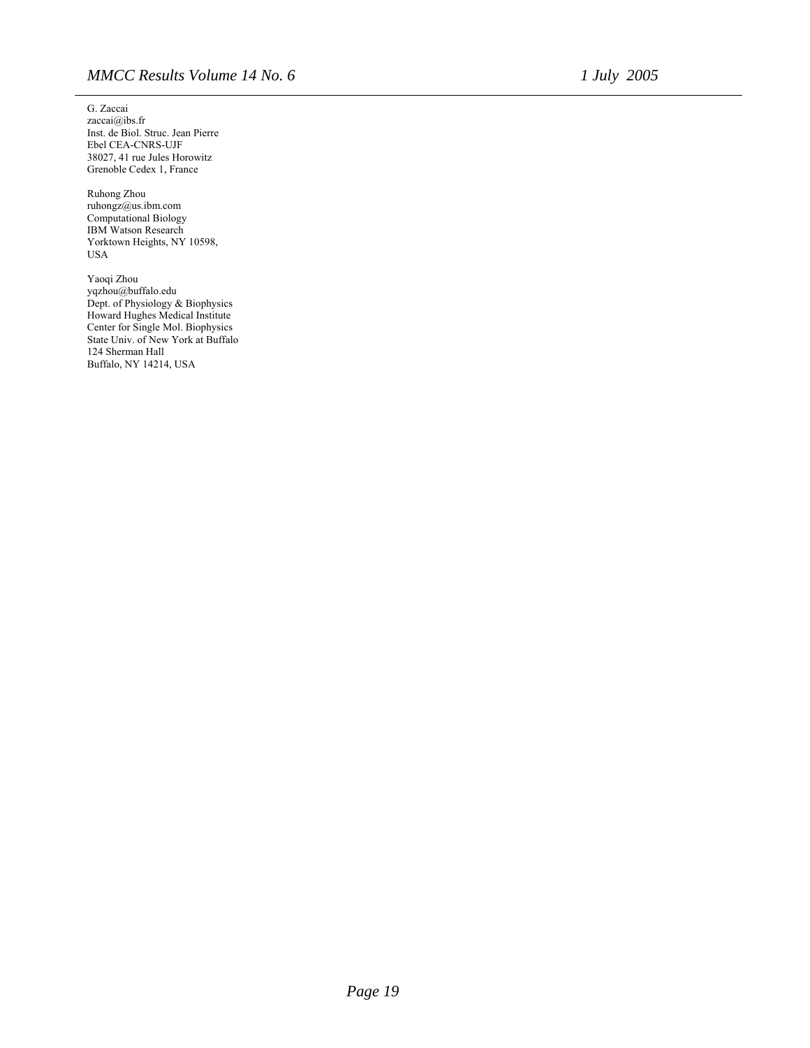G. Zaccai [zaccai@ibs.fr](mailto:zaccai@ibs.fr) Inst. de Biol. Struc. Jean Pierre Ebel CEA-CNRS-UJF 38027, 41 rue Jules Horowitz Grenoble Cedex 1, France

Ruhong Zhou ruhongz@us.ibm.com Computational Biology IBM Watson Research Yorktown Heights, NY 10598, USA

Yaoqi Zhou yqzhou@buffalo.edu Dept. of Physiology & Biophysics Howard Hughes Medical Institute Center for Single Mol. Biophysics State Univ. of New York at Buffalo 124 Sherman Hall Buffalo, NY 14214, USA